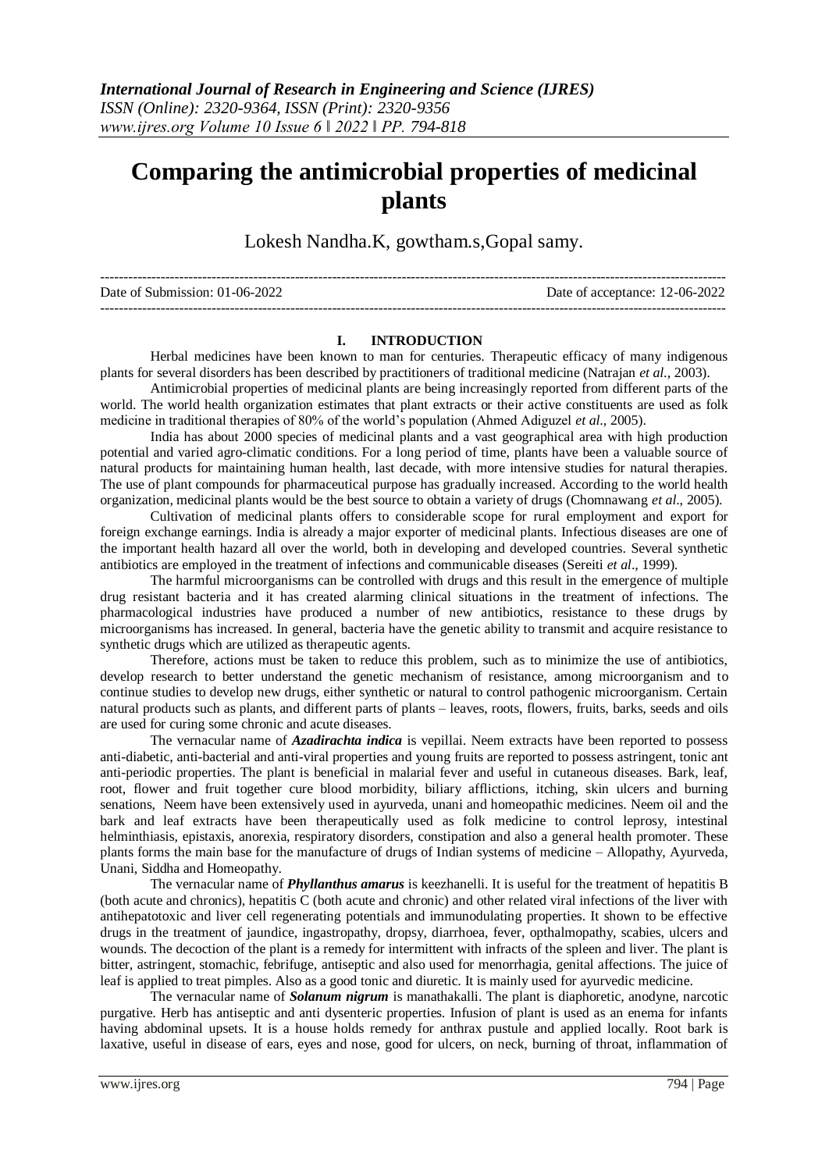## **Comparing the antimicrobial properties of medicinal plants**

Lokesh Nandha.K, gowtham.s,Gopal samy.

| Date of Submission: $01-06-2022$ | Date of acceptance: 12-06-2022 |
|----------------------------------|--------------------------------|
|                                  |                                |

#### **I. INTRODUCTION**

Herbal medicines have been known to man for centuries. Therapeutic efficacy of many indigenous plants for several disorders has been described by practitioners of traditional medicine (Natrajan *et al*., 2003).

Antimicrobial properties of medicinal plants are being increasingly reported from different parts of the world. The world health organization estimates that plant extracts or their active constituents are used as folk medicine in traditional therapies of 80% of the world's population (Ahmed Adiguzel *et al*., 2005).

India has about 2000 species of medicinal plants and a vast geographical area with high production potential and varied agro-climatic conditions. For a long period of time, plants have been a valuable source of natural products for maintaining human health, last decade, with more intensive studies for natural therapies. The use of plant compounds for pharmaceutical purpose has gradually increased. According to the world health organization, medicinal plants would be the best source to obtain a variety of drugs (Chomnawang *et al*., 2005).

Cultivation of medicinal plants offers to considerable scope for rural employment and export for foreign exchange earnings. India is already a major exporter of medicinal plants. Infectious diseases are one of the important health hazard all over the world, both in developing and developed countries. Several synthetic antibiotics are employed in the treatment of infections and communicable diseases (Sereiti *et al*., 1999).

The harmful microorganisms can be controlled with drugs and this result in the emergence of multiple drug resistant bacteria and it has created alarming clinical situations in the treatment of infections. The pharmacological industries have produced a number of new antibiotics, resistance to these drugs by microorganisms has increased. In general, bacteria have the genetic ability to transmit and acquire resistance to synthetic drugs which are utilized as therapeutic agents.

Therefore, actions must be taken to reduce this problem, such as to minimize the use of antibiotics, develop research to better understand the genetic mechanism of resistance, among microorganism and to continue studies to develop new drugs, either synthetic or natural to control pathogenic microorganism. Certain natural products such as plants, and different parts of plants – leaves, roots, flowers, fruits, barks, seeds and oils are used for curing some chronic and acute diseases.

The vernacular name of *Azadirachta indica* is vepillai. Neem extracts have been reported to possess anti-diabetic, anti-bacterial and anti-viral properties and young fruits are reported to possess astringent, tonic ant anti-periodic properties. The plant is beneficial in malarial fever and useful in cutaneous diseases. Bark, leaf, root, flower and fruit together cure blood morbidity, biliary afflictions, itching, skin ulcers and burning senations, Neem have been extensively used in ayurveda, unani and homeopathic medicines. Neem oil and the bark and leaf extracts have been therapeutically used as folk medicine to control leprosy, intestinal helminthiasis, epistaxis, anorexia, respiratory disorders, constipation and also a general health promoter. These plants forms the main base for the manufacture of drugs of Indian systems of medicine – Allopathy, Ayurveda, Unani, Siddha and Homeopathy.

The vernacular name of *Phyllanthus amarus* is keezhanelli. It is useful for the treatment of hepatitis B (both acute and chronics), hepatitis C (both acute and chronic) and other related viral infections of the liver with antihepatotoxic and liver cell regenerating potentials and immunodulating properties. It shown to be effective drugs in the treatment of jaundice, ingastropathy, dropsy, diarrhoea, fever, opthalmopathy, scabies, ulcers and wounds. The decoction of the plant is a remedy for intermittent with infracts of the spleen and liver. The plant is bitter, astringent, stomachic, febrifuge, antiseptic and also used for menorrhagia, genital affections. The juice of leaf is applied to treat pimples. Also as a good tonic and diuretic. It is mainly used for ayurvedic medicine.

The vernacular name of *Solanum nigrum* is manathakalli. The plant is diaphoretic, anodyne, narcotic purgative. Herb has antiseptic and anti dysenteric properties. Infusion of plant is used as an enema for infants having abdominal upsets. It is a house holds remedy for anthrax pustule and applied locally. Root bark is laxative, useful in disease of ears, eyes and nose, good for ulcers, on neck, burning of throat, inflammation of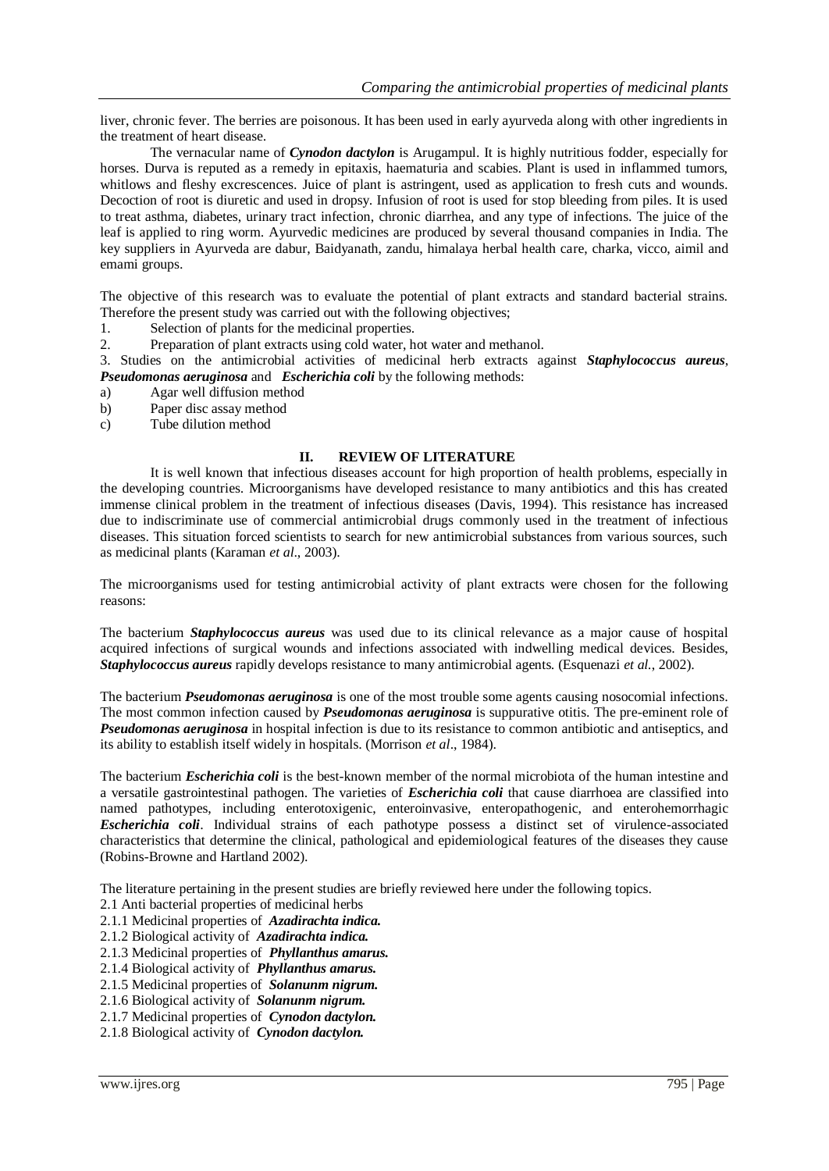liver, chronic fever. The berries are poisonous. It has been used in early ayurveda along with other ingredients in the treatment of heart disease.

The vernacular name of *Cynodon dactylon* is Arugampul. It is highly nutritious fodder, especially for horses. Durva is reputed as a remedy in epitaxis, haematuria and scabies. Plant is used in inflammed tumors, whitlows and fleshy excrescences. Juice of plant is astringent, used as application to fresh cuts and wounds. Decoction of root is diuretic and used in dropsy. Infusion of root is used for stop bleeding from piles. It is used to treat asthma, diabetes, urinary tract infection, chronic diarrhea, and any type of infections. The juice of the leaf is applied to ring worm. Ayurvedic medicines are produced by several thousand companies in India. The key suppliers in Ayurveda are dabur, Baidyanath, zandu, himalaya herbal health care, charka, vicco, aimil and emami groups.

The objective of this research was to evaluate the potential of plant extracts and standard bacterial strains. Therefore the present study was carried out with the following objectives;

- 1. Selection of plants for the medicinal properties.
- 2. Preparation of plant extracts using cold water, hot water and methanol.

3. Studies on the antimicrobial activities of medicinal herb extracts against *Staphylococcus aureus*, *Pseudomonas aeruginosa* and *Escherichia coli* by the following methods:

- a) Agar well diffusion method
- b) Paper disc assay method
- c) Tube dilution method

#### **II. REVIEW OF LITERATURE**

It is well known that infectious diseases account for high proportion of health problems, especially in the developing countries. Microorganisms have developed resistance to many antibiotics and this has created immense clinical problem in the treatment of infectious diseases (Davis, 1994). This resistance has increased due to indiscriminate use of commercial antimicrobial drugs commonly used in the treatment of infectious diseases. This situation forced scientists to search for new antimicrobial substances from various sources, such as medicinal plants (Karaman *et al*., 2003).

The microorganisms used for testing antimicrobial activity of plant extracts were chosen for the following reasons:

The bacterium *Staphylococcus aureus* was used due to its clinical relevance as a major cause of hospital acquired infections of surgical wounds and infections associated with indwelling medical devices. Besides, *Staphylococcus aureus* rapidly develops resistance to many antimicrobial agents. (Esquenazi *et al.*, 2002).

The bacterium *Pseudomonas aeruginosa* is one of the most trouble some agents causing nosocomial infections. The most common infection caused by *Pseudomonas aeruginosa* is suppurative otitis. The pre-eminent role of *Pseudomonas aeruginosa* in hospital infection is due to its resistance to common antibiotic and antiseptics, and its ability to establish itself widely in hospitals. (Morrison *et al*., 1984).

The bacterium *Escherichia coli* is the best-known member of the normal microbiota of the human intestine and a versatile gastrointestinal pathogen. The varieties of *Escherichia coli* that cause diarrhoea are classified into named pathotypes, including enterotoxigenic, enteroinvasive, enteropathogenic, and enterohemorrhagic *Escherichia coli*. Individual strains of each pathotype possess a distinct set of virulence-associated characteristics that determine the clinical, pathological and epidemiological features of the diseases they cause (Robins-Browne and Hartland 2002).

The literature pertaining in the present studies are briefly reviewed here under the following topics.

- 2.1 Anti bacterial properties of medicinal herbs
- 2.1.1 Medicinal properties of *Azadirachta indica.*
- 2.1.2 Biological activity of *Azadirachta indica.*
- 2.1.3 Medicinal properties of *Phyllanthus amarus.*
- 2.1.4 Biological activity of *Phyllanthus amarus.*
- 2.1.5 Medicinal properties of *Solanunm nigrum.*
- 2.1.6 Biological activity of *Solanunm nigrum.*
- 2.1.7 Medicinal properties of *Cynodon dactylon.*
- 2.1.8 Biological activity of *Cynodon dactylon.*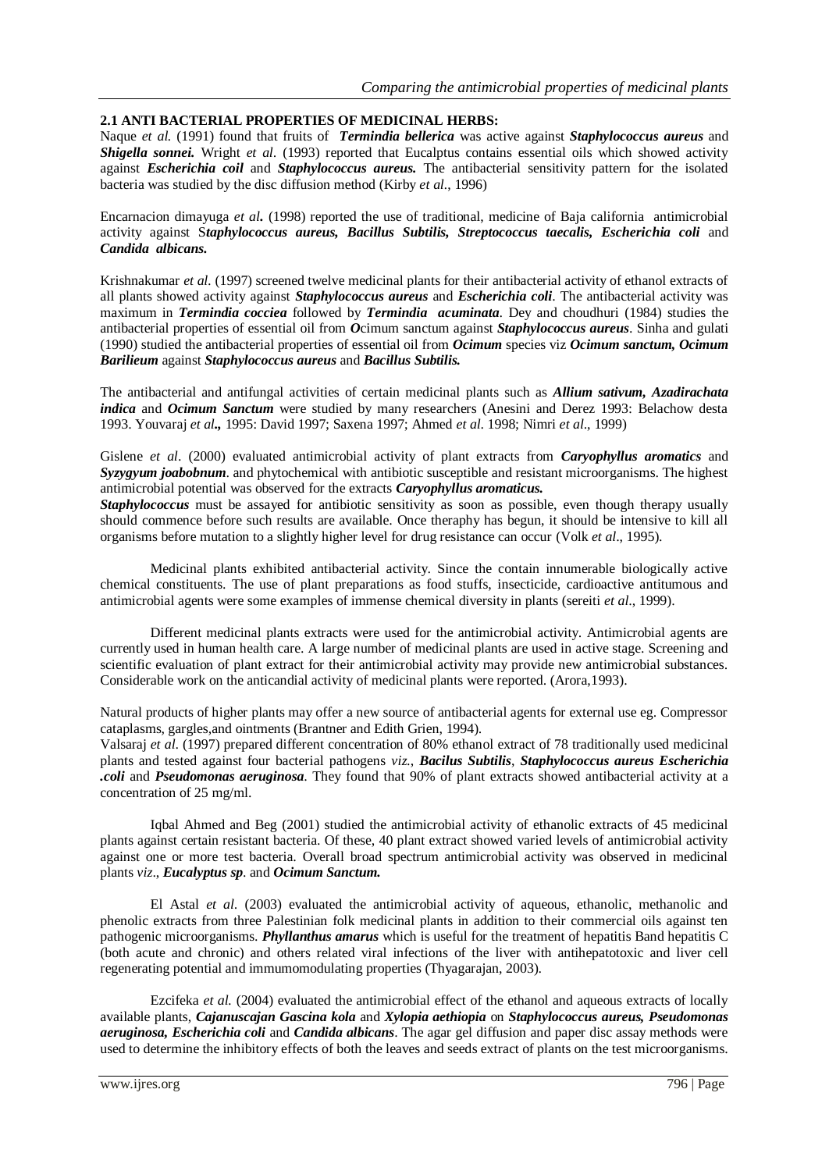#### **2.1 ANTI BACTERIAL PROPERTIES OF MEDICINAL HERBS:**

Naque *et al.* (1991) found that fruits of *Termindia bellerica* was active against *Staphylococcus aureus* and *Shigella sonnei.* Wright *et al*. (1993) reported that Eucalptus contains essential oils which showed activity against *Escherichia coil* and *Staphylococcus aureus.* The antibacterial sensitivity pattern for the isolated bacteria was studied by the disc diffusion method (Kirby *et al.*, 1996)

Encarnacion dimayuga *et al.* (1998) reported the use of traditional, medicine of Baja california antimicrobial activity against S*taphylococcus aureus, Bacillus Subtilis, Streptococcus taecalis, Escherichia coli* and *Candida albicans.*

Krishnakumar *et al.* (1997) screened twelve medicinal plants for their antibacterial activity of ethanol extracts of all plants showed activity against *Staphylococcus aureus* and *Escherichia coli*. The antibacterial activity was maximum in *Termindia cocciea* followed by *Termindia acuminata*. Dey and choudhuri (1984) studies the antibacterial properties of essential oil from *O*cimum sanctum against *Staphylococcus aureus*. Sinha and gulati (1990) studied the antibacterial properties of essential oil from *Ocimum* species viz *Ocimum sanctum, Ocimum Barilieum* against *Staphylococcus aureus* and *Bacillus Subtilis.*

The antibacterial and antifungal activities of certain medicinal plants such as *Allium sativum, Azadirachata indica* and *Ocimum Sanctum* were studied by many researchers (Anesini and Derez 1993: Belachow desta 1993. Youvaraj *et al.,* 1995: David 1997; Saxena 1997; Ahmed *et al*. 1998; Nimri *et al*., 1999)

Gislene *et al*. (2000) evaluated antimicrobial activity of plant extracts from *Caryophyllus aromatics* and *Syzygyum joabobnum*. and phytochemical with antibiotic susceptible and resistant microorganisms. The highest antimicrobial potential was observed for the extracts *Caryophyllus aromaticus.*

**Staphylococcus** must be assayed for antibiotic sensitivity as soon as possible, even though therapy usually should commence before such results are available. Once theraphy has begun, it should be intensive to kill all organisms before mutation to a slightly higher level for drug resistance can occur (Volk *et al*., 1995).

Medicinal plants exhibited antibacterial activity. Since the contain innumerable biologically active chemical constituents. The use of plant preparations as food stuffs, insecticide, cardioactive antitumous and antimicrobial agents were some examples of immense chemical diversity in plants (sereiti *et al*., 1999).

Different medicinal plants extracts were used for the antimicrobial activity. Antimicrobial agents are currently used in human health care. A large number of medicinal plants are used in active stage. Screening and scientific evaluation of plant extract for their antimicrobial activity may provide new antimicrobial substances. Considerable work on the anticandial activity of medicinal plants were reported. (Arora,1993).

Natural products of higher plants may offer a new source of antibacterial agents for external use eg. Compressor cataplasms, gargles,and ointments (Brantner and Edith Grien, 1994).

Valsaraj *et al*. (1997) prepared different concentration of 80% ethanol extract of 78 traditionally used medicinal plants and tested against four bacterial pathogens *viz*., *Bacilus Subtilis*, *Staphylococcus aureus Escherichia .coli* and *Pseudomonas aeruginosa*. They found that 90% of plant extracts showed antibacterial activity at a concentration of 25 mg/ml.

Iqbal Ahmed and Beg (2001) studied the antimicrobial activity of ethanolic extracts of 45 medicinal plants against certain resistant bacteria. Of these, 40 plant extract showed varied levels of antimicrobial activity against one or more test bacteria. Overall broad spectrum antimicrobial activity was observed in medicinal plants *viz*., *Eucalyptus sp*. and *Ocimum Sanctum.*

El Astal *et al*. (2003) evaluated the antimicrobial activity of aqueous, ethanolic, methanolic and phenolic extracts from three Palestinian folk medicinal plants in addition to their commercial oils against ten pathogenic microorganisms. *Phyllanthus amarus* which is useful for the treatment of hepatitis Band hepatitis C (both acute and chronic) and others related viral infections of the liver with antihepatotoxic and liver cell regenerating potential and immumomodulating properties (Thyagarajan, 2003).

Ezcifeka *et al.* (2004) evaluated the antimicrobial effect of the ethanol and aqueous extracts of locally available plants, *Cajanuscajan Gascina kola* and *Xylopia aethiopia* on *Staphylococcus aureus, Pseudomonas aeruginosa, Escherichia coli* and *Candida albicans*. The agar gel diffusion and paper disc assay methods were used to determine the inhibitory effects of both the leaves and seeds extract of plants on the test microorganisms.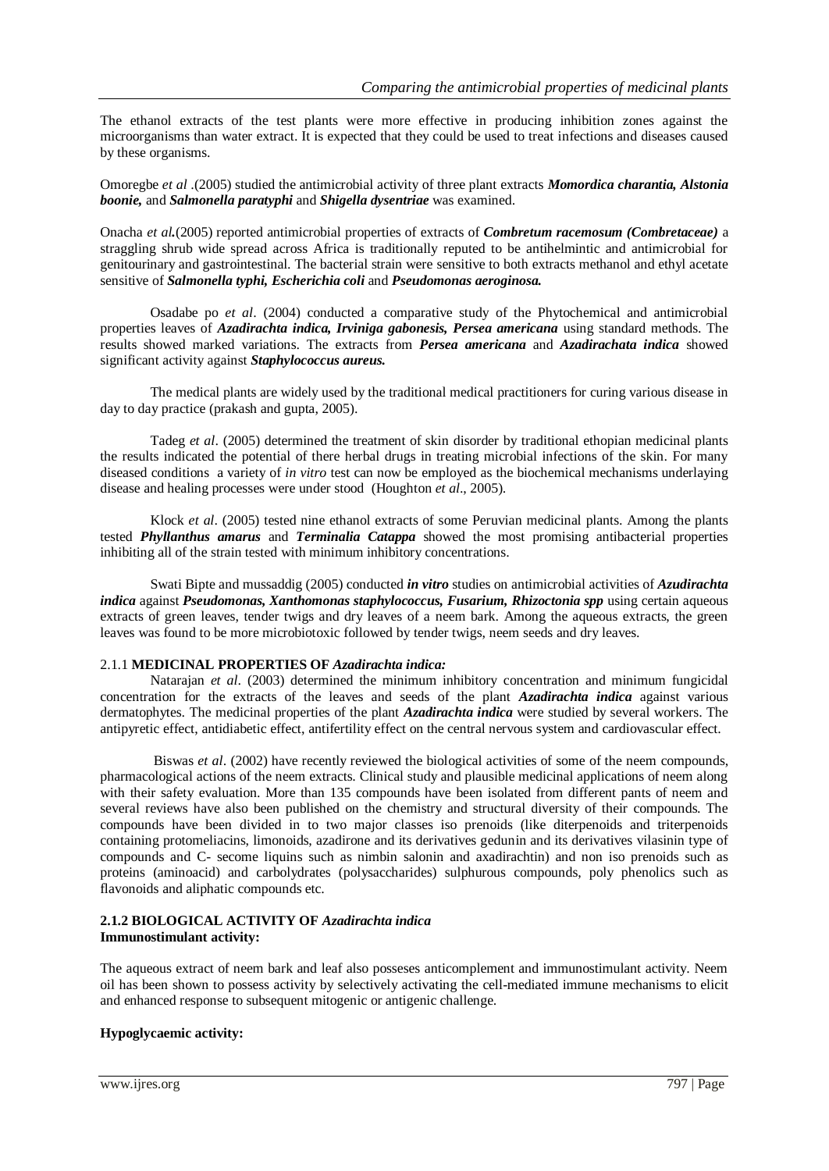The ethanol extracts of the test plants were more effective in producing inhibition zones against the microorganisms than water extract. It is expected that they could be used to treat infections and diseases caused by these organisms.

Omoregbe *et al* .(2005) studied the antimicrobial activity of three plant extracts *Momordica charantia, Alstonia boonie,* and *Salmonella paratyphi* and *Shigella dysentriae* was examined.

Onacha *et al.*(2005) reported antimicrobial properties of extracts of *Combretum racemosum (Combretaceae)* a straggling shrub wide spread across Africa is traditionally reputed to be antihelmintic and antimicrobial for genitourinary and gastrointestinal. The bacterial strain were sensitive to both extracts methanol and ethyl acetate sensitive of *Salmonella typhi, Escherichia coli* and *Pseudomonas aeroginosa.*

Osadabe po *et al*. (2004) conducted a comparative study of the Phytochemical and antimicrobial properties leaves of *Azadirachta indica, Irviniga gabonesis, Persea americana* using standard methods. The results showed marked variations. The extracts from *Persea americana* and *Azadirachata indica* showed significant activity against *Staphylococcus aureus.*

The medical plants are widely used by the traditional medical practitioners for curing various disease in day to day practice (prakash and gupta, 2005).

Tadeg *et al*. (2005) determined the treatment of skin disorder by traditional ethopian medicinal plants the results indicated the potential of there herbal drugs in treating microbial infections of the skin. For many diseased conditions a variety of *in vitro* test can now be employed as the biochemical mechanisms underlaying disease and healing processes were under stood (Houghton *et al*., 2005).

Klock *et al*. (2005) tested nine ethanol extracts of some Peruvian medicinal plants. Among the plants tested *Phyllanthus amarus* and *Terminalia Catappa* showed the most promising antibacterial properties inhibiting all of the strain tested with minimum inhibitory concentrations.

Swati Bipte and mussaddig (2005) conducted *in vitro* studies on antimicrobial activities of *Azudirachta indica* against *Pseudomonas, Xanthomonas staphylococcus, Fusarium, Rhizoctonia spp* using certain aqueous extracts of green leaves, tender twigs and dry leaves of a neem bark. Among the aqueous extracts, the green leaves was found to be more microbiotoxic followed by tender twigs, neem seeds and dry leaves.

#### 2.1.1 **MEDICINAL PROPERTIES OF** *Azadirachta indica:*

Natarajan *et al*. (2003) determined the minimum inhibitory concentration and minimum fungicidal concentration for the extracts of the leaves and seeds of the plant *Azadirachta indica* against various dermatophytes. The medicinal properties of the plant *Azadirachta indica* were studied by several workers. The antipyretic effect, antidiabetic effect, antifertility effect on the central nervous system and cardiovascular effect.

Biswas *et al*. (2002) have recently reviewed the biological activities of some of the neem compounds, pharmacological actions of the neem extracts. Clinical study and plausible medicinal applications of neem along with their safety evaluation. More than 135 compounds have been isolated from different pants of neem and several reviews have also been published on the chemistry and structural diversity of their compounds. The compounds have been divided in to two major classes iso prenoids (like diterpenoids and triterpenoids containing protomeliacins, limonoids, azadirone and its derivatives gedunin and its derivatives vilasinin type of compounds and C- secome liquins such as nimbin salonin and axadirachtin) and non iso prenoids such as proteins (aminoacid) and carbolydrates (polysaccharides) sulphurous compounds, poly phenolics such as flavonoids and aliphatic compounds etc.

#### **2.1.2 BIOLOGICAL ACTIVITY OF** *Azadirachta indica* **Immunostimulant activity:**

The aqueous extract of neem bark and leaf also posseses anticomplement and immunostimulant activity. Neem oil has been shown to possess activity by selectively activating the cell-mediated immune mechanisms to elicit and enhanced response to subsequent mitogenic or antigenic challenge.

### **Hypoglycaemic activity:**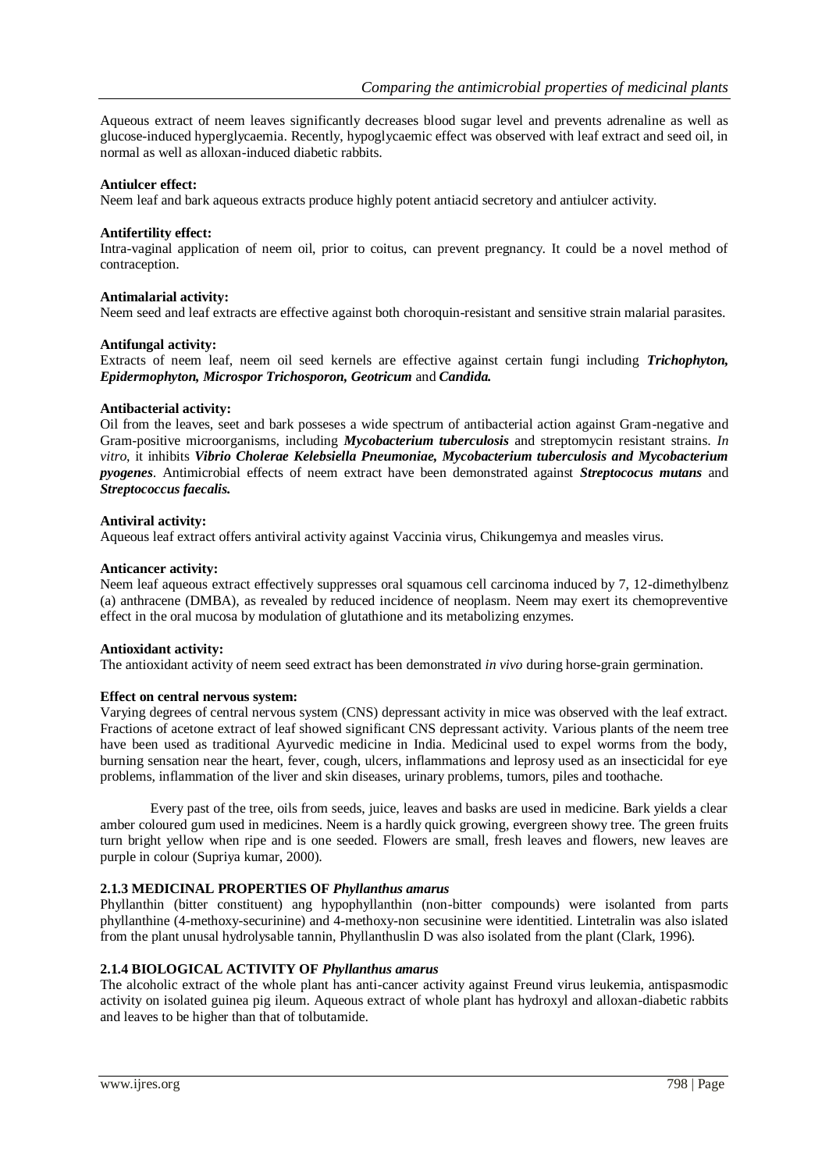Aqueous extract of neem leaves significantly decreases blood sugar level and prevents adrenaline as well as glucose-induced hyperglycaemia. Recently, hypoglycaemic effect was observed with leaf extract and seed oil, in normal as well as alloxan-induced diabetic rabbits.

#### **Antiulcer effect:**

Neem leaf and bark aqueous extracts produce highly potent antiacid secretory and antiulcer activity.

#### **Antifertility effect:**

Intra-vaginal application of neem oil, prior to coitus, can prevent pregnancy. It could be a novel method of contraception.

#### **Antimalarial activity:**

Neem seed and leaf extracts are effective against both choroquin-resistant and sensitive strain malarial parasites.

#### **Antifungal activity:**

Extracts of neem leaf, neem oil seed kernels are effective against certain fungi including *Trichophyton, Epidermophyton, Microspor Trichosporon, Geotricum* and *Candida.*

#### **Antibacterial activity:**

Oil from the leaves, seet and bark posseses a wide spectrum of antibacterial action against Gram-negative and Gram-positive microorganisms, including *Mycobacterium tuberculosis* and streptomycin resistant strains. *In vitro*, it inhibits *Vibrio Cholerae Kelebsiella Pneumoniae, Mycobacterium tuberculosis and Mycobacterium pyogenes*. Antimicrobial effects of neem extract have been demonstrated against *Streptococus mutans* and *Streptococcus faecalis.*

#### **Antiviral activity:**

Aqueous leaf extract offers antiviral activity against Vaccinia virus, Chikungemya and measles virus.

#### **Anticancer activity:**

Neem leaf aqueous extract effectively suppresses oral squamous cell carcinoma induced by 7, 12-dimethylbenz (a) anthracene (DMBA), as revealed by reduced incidence of neoplasm. Neem may exert its chemopreventive effect in the oral mucosa by modulation of glutathione and its metabolizing enzymes.

#### **Antioxidant activity:**

The antioxidant activity of neem seed extract has been demonstrated *in vivo* during horse-grain germination.

#### **Effect on central nervous system:**

Varying degrees of central nervous system (CNS) depressant activity in mice was observed with the leaf extract. Fractions of acetone extract of leaf showed significant CNS depressant activity. Various plants of the neem tree have been used as traditional Ayurvedic medicine in India. Medicinal used to expel worms from the body, burning sensation near the heart, fever, cough, ulcers, inflammations and leprosy used as an insecticidal for eye problems, inflammation of the liver and skin diseases, urinary problems, tumors, piles and toothache.

Every past of the tree, oils from seeds, juice, leaves and basks are used in medicine. Bark yields a clear amber coloured gum used in medicines. Neem is a hardly quick growing, evergreen showy tree. The green fruits turn bright yellow when ripe and is one seeded. Flowers are small, fresh leaves and flowers, new leaves are purple in colour (Supriya kumar, 2000).

#### **2.1.3 MEDICINAL PROPERTIES OF** *Phyllanthus amarus*

Phyllanthin (bitter constituent) ang hypophyllanthin (non-bitter compounds) were isolanted from parts phyllanthine (4-methoxy-securinine) and 4-methoxy-non secusinine were identitied. Lintetralin was also islated from the plant unusal hydrolysable tannin, Phyllanthuslin D was also isolated from the plant (Clark, 1996).

#### **2.1.4 BIOLOGICAL ACTIVITY OF** *Phyllanthus amarus*

The alcoholic extract of the whole plant has anti-cancer activity against Freund virus leukemia, antispasmodic activity on isolated guinea pig ileum. Aqueous extract of whole plant has hydroxyl and alloxan-diabetic rabbits and leaves to be higher than that of tolbutamide.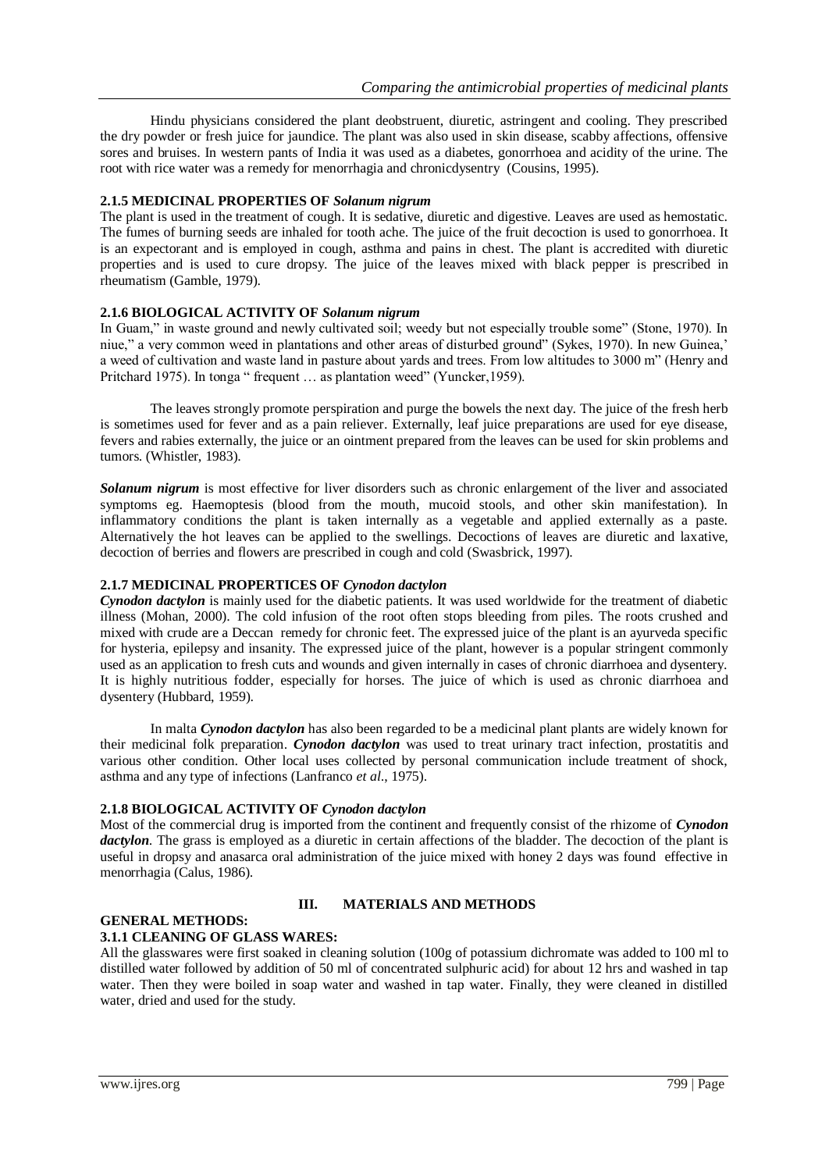Hindu physicians considered the plant deobstruent, diuretic, astringent and cooling. They prescribed the dry powder or fresh juice for jaundice. The plant was also used in skin disease, scabby affections, offensive sores and bruises. In western pants of India it was used as a diabetes, gonorrhoea and acidity of the urine. The root with rice water was a remedy for menorrhagia and chronicdysentry (Cousins, 1995).

#### **2.1.5 MEDICINAL PROPERTIES OF** *Solanum nigrum*

The plant is used in the treatment of cough. It is sedative, diuretic and digestive. Leaves are used as hemostatic. The fumes of burning seeds are inhaled for tooth ache. The juice of the fruit decoction is used to gonorrhoea. It is an expectorant and is employed in cough, asthma and pains in chest. The plant is accredited with diuretic properties and is used to cure dropsy. The juice of the leaves mixed with black pepper is prescribed in rheumatism (Gamble, 1979).

#### **2.1.6 BIOLOGICAL ACTIVITY OF** *Solanum nigrum*

In Guam," in waste ground and newly cultivated soil; weedy but not especially trouble some" (Stone, 1970). In niue," a very common weed in plantations and other areas of disturbed ground" (Sykes, 1970). In new Guinea,' a weed of cultivation and waste land in pasture about yards and trees. From low altitudes to 3000 m" (Henry and Pritchard 1975). In tonga " frequent ... as plantation weed" (Yuncker, 1959).

The leaves strongly promote perspiration and purge the bowels the next day. The juice of the fresh herb is sometimes used for fever and as a pain reliever. Externally, leaf juice preparations are used for eye disease, fevers and rabies externally, the juice or an ointment prepared from the leaves can be used for skin problems and tumors. (Whistler, 1983).

*Solanum nigrum* is most effective for liver disorders such as chronic enlargement of the liver and associated symptoms eg. Haemoptesis (blood from the mouth, mucoid stools, and other skin manifestation). In inflammatory conditions the plant is taken internally as a vegetable and applied externally as a paste. Alternatively the hot leaves can be applied to the swellings. Decoctions of leaves are diuretic and laxative, decoction of berries and flowers are prescribed in cough and cold (Swasbrick, 1997).

#### **2.1.7 MEDICINAL PROPERTICES OF** *Cynodon dactylon*

*Cynodon dactylon* is mainly used for the diabetic patients. It was used worldwide for the treatment of diabetic illness (Mohan, 2000). The cold infusion of the root often stops bleeding from piles. The roots crushed and mixed with crude are a Deccan remedy for chronic feet. The expressed juice of the plant is an ayurveda specific for hysteria, epilepsy and insanity. The expressed juice of the plant, however is a popular stringent commonly used as an application to fresh cuts and wounds and given internally in cases of chronic diarrhoea and dysentery. It is highly nutritious fodder, especially for horses. The juice of which is used as chronic diarrhoea and dysentery (Hubbard, 1959).

In malta *Cynodon dactylon* has also been regarded to be a medicinal plant plants are widely known for their medicinal folk preparation. *Cynodon dactylon* was used to treat urinary tract infection, prostatitis and various other condition. Other local uses collected by personal communication include treatment of shock, asthma and any type of infections (Lanfranco *et al*., 1975).

#### **2.1.8 BIOLOGICAL ACTIVITY OF** *Cynodon dactylon*

Most of the commercial drug is imported from the continent and frequently consist of the rhizome of *Cynodon dactylon*. The grass is employed as a diuretic in certain affections of the bladder. The decoction of the plant is useful in dropsy and anasarca oral administration of the juice mixed with honey 2 days was found effective in menorrhagia (Calus, 1986).

## **GENERAL METHODS:**

## **III. MATERIALS AND METHODS**

### **3.1.1 CLEANING OF GLASS WARES:**

All the glasswares were first soaked in cleaning solution (100g of potassium dichromate was added to 100 ml to distilled water followed by addition of 50 ml of concentrated sulphuric acid) for about 12 hrs and washed in tap water. Then they were boiled in soap water and washed in tap water. Finally, they were cleaned in distilled water, dried and used for the study.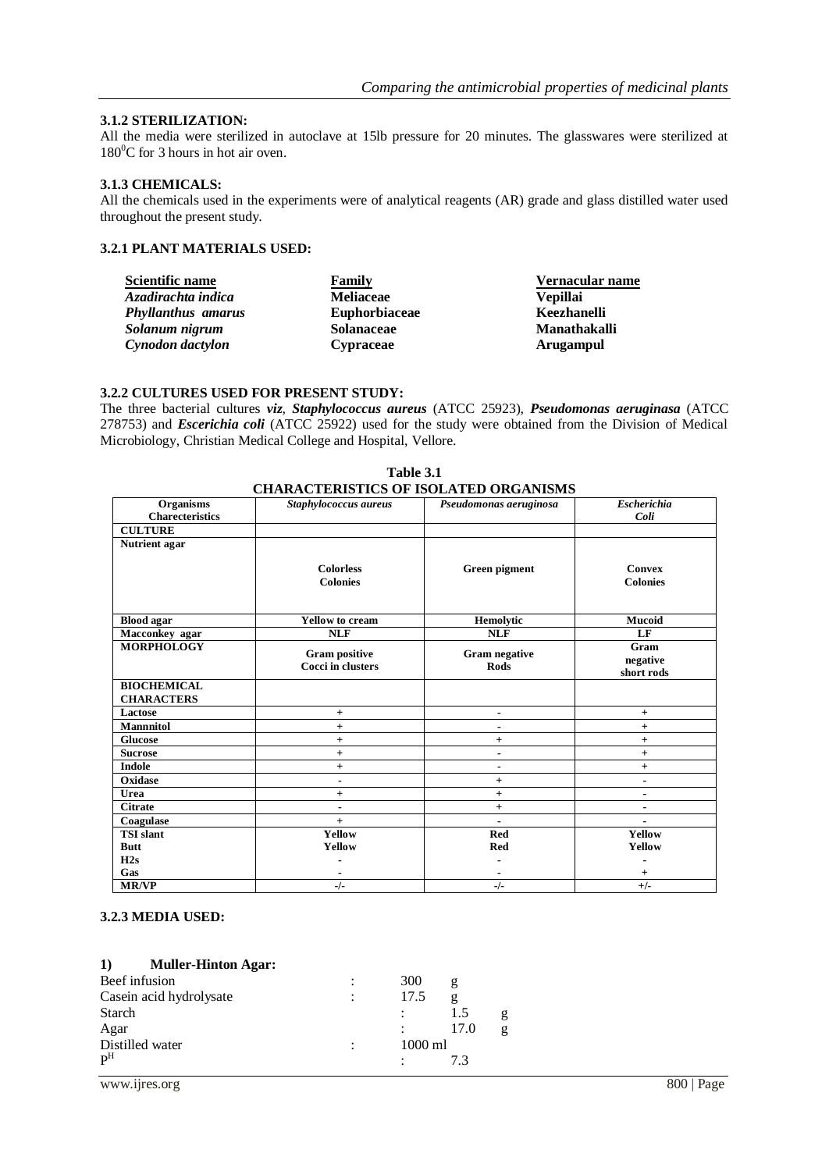#### **3.1.2 STERILIZATION:**

All the media were sterilized in autoclave at 15lb pressure for 20 minutes. The glasswares were sterilized at  $180^0C$  for 3 hours in hot air oven.

#### **3.1.3 CHEMICALS:**

All the chemicals used in the experiments were of analytical reagents (AR) grade and glass distilled water used throughout the present study.

### **3.2.1 PLANT MATERIALS USED:**

| Scientific name           | Family               | Vernacular name  |
|---------------------------|----------------------|------------------|
| Azadirachta indica        | <b>Meliaceae</b>     | <b>Vepillai</b>  |
| <b>Phyllanthus amarus</b> | <b>Euphorbiaceae</b> | Keezhanelli      |
| Solanum nigrum            | <b>Solanaceae</b>    | Manathakalli     |
| Cynodon dactylon          | <b>Cypraceae</b>     | <b>Arugampul</b> |

#### **3.2.2 CULTURES USED FOR PRESENT STUDY:**

The three bacterial cultures *viz*, *Staphylococcus aureus* (ATCC 25923), *Pseudomonas aeruginasa* (ATCC 278753) and *Escerichia coli* (ATCC 25922) used for the study were obtained from the Division of Medical Microbiology, Christian Medical College and Hospital, Vellore.

|                                            | CHANAC LENISTICS OF ISOLATED ONGANISMS    |                                     | <b>Escherichia</b>           |
|--------------------------------------------|-------------------------------------------|-------------------------------------|------------------------------|
| <b>Organisms</b><br><b>Charecteristics</b> | Staphylococcus aureus                     | Pseudomonas aeruginosa              | Coli                         |
| <b>CULTURE</b>                             |                                           |                                     |                              |
|                                            |                                           |                                     |                              |
| Nutrient agar                              |                                           |                                     |                              |
|                                            | <b>Colorless</b>                          | Green pigment                       | <b>Convex</b>                |
|                                            | <b>Colonies</b>                           |                                     | <b>Colonies</b>              |
|                                            |                                           |                                     |                              |
|                                            |                                           |                                     |                              |
| <b>Blood agar</b>                          | <b>Yellow</b> to cream                    | Hemolytic                           | <b>Mucoid</b>                |
| Macconkey agar                             | <b>NLF</b>                                | <b>NLF</b>                          | LF                           |
| <b>MORPHOLOGY</b>                          |                                           |                                     | Gram                         |
|                                            | <b>Gram positive</b><br>Cocci in clusters | <b>Gram negative</b><br><b>Rods</b> | negative                     |
|                                            |                                           |                                     | short rods                   |
| <b>BIOCHEMICAL</b>                         |                                           |                                     |                              |
| <b>CHARACTERS</b>                          |                                           |                                     |                              |
| Lactose                                    | $+$                                       | $\blacksquare$                      | $\ddot{}$                    |
| <b>Mannnitol</b>                           | $^{+}$                                    | ٠                                   | $+$                          |
| <b>Glucose</b>                             | $\ddot{}$                                 | $+$                                 | $+$                          |
| <b>Sucrose</b>                             | $\ddot{}$                                 | $\blacksquare$                      | $\ddot{}$                    |
| <b>Indole</b>                              | $\ddot{}$                                 | $\blacksquare$                      | $\ddot{}$                    |
| Oxidase                                    | $\blacksquare$                            | $\ddot{}$                           | $\blacksquare$               |
| Urea                                       | $\ddot{}$                                 | $\ddot{}$                           | $\qquad \qquad \blacksquare$ |
| <b>Citrate</b>                             | $\blacksquare$                            | $+$                                 | $\blacksquare$               |
| Coagulase                                  | $+$                                       | ٠                                   |                              |
| <b>TSI</b> slant                           | Yellow                                    | <b>Red</b>                          | Yellow                       |
| <b>Butt</b>                                | Yellow                                    | Red                                 | Yellow                       |
| H2s                                        |                                           |                                     |                              |
| Gas                                        |                                           |                                     | $\pm$                        |
| <b>MR/VP</b>                               | $-/-$                                     | $-/-$                               | $+/-$                        |

| Table 3.1                                    |
|----------------------------------------------|
| <b>CHARACTERISTICS OF ISOLATED ORGANISMS</b> |

### **3.2.3 MEDIA USED:**

#### **1) Muller-Hinton Agar:**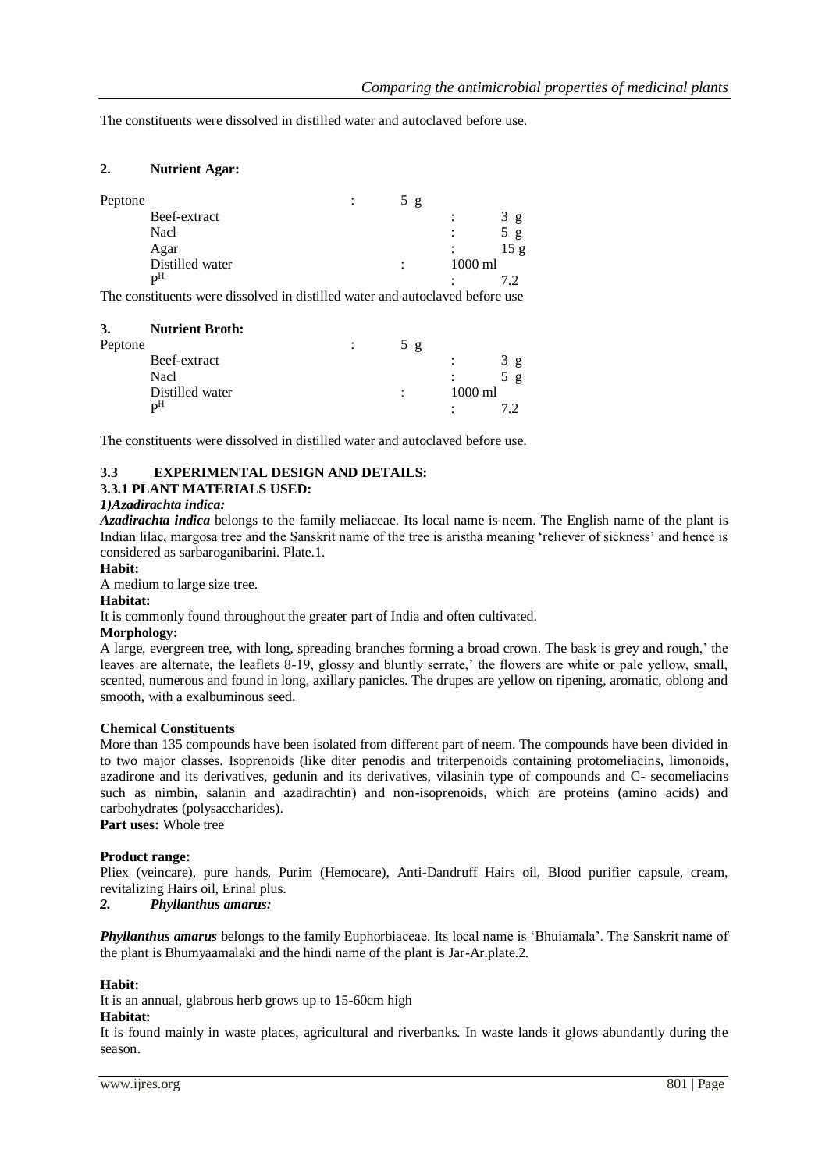The constituents were dissolved in distilled water and autoclaved before use.

#### **2. Nutrient Agar:**

| Peptone |                 | ٠<br>$\cdot$ | 5g |         |      |
|---------|-----------------|--------------|----|---------|------|
|         | Beef-extract    |              |    |         | g    |
|         | Nacl            |              |    | ٠       | g    |
|         | Agar            |              |    |         | 15 g |
|         | Distilled water |              |    | 1000 ml |      |
|         | $\mathbf{p}$ H  |              |    |         |      |

The constituents were dissolved in distilled water and autoclaved before use

| 3.      | <b>Nutrient Broth:</b> |     |                |     |  |
|---------|------------------------|-----|----------------|-----|--|
| Peptone |                        | 5 g |                |     |  |
|         | Beef-extract           |     | $\ddot{\cdot}$ | 3 g |  |
|         | Nacl                   |     |                | 5 g |  |
|         | Distilled water        |     | 1000 ml        |     |  |
|         | ŋН                     |     |                |     |  |
|         |                        |     |                |     |  |

The constituents were dissolved in distilled water and autoclaved before use.

## **3.3 EXPERIMENTAL DESIGN AND DETAILS:**

## **3.3.1 PLANT MATERIALS USED:**

## *1)Azadirachta indica:*

*Azadirachta indica* belongs to the family meliaceae. Its local name is neem. The English name of the plant is Indian lilac, margosa tree and the Sanskrit name of the tree is aristha meaning 'reliever of sickness' and hence is considered as sarbaroganibarini. Plate.1.

#### **Habit:**

A medium to large size tree.

#### **Habitat:**

It is commonly found throughout the greater part of India and often cultivated.

#### **Morphology:**

A large, evergreen tree, with long, spreading branches forming a broad crown. The bask is grey and rough,' the leaves are alternate, the leaflets 8-19, glossy and bluntly serrate,' the flowers are white or pale yellow, small, scented, numerous and found in long, axillary panicles. The drupes are yellow on ripening, aromatic, oblong and smooth, with a exalbuminous seed.

#### **Chemical Constituents**

More than 135 compounds have been isolated from different part of neem. The compounds have been divided in to two major classes. Isoprenoids (like diter penodis and triterpenoids containing protomeliacins, limonoids, azadirone and its derivatives, gedunin and its derivatives, vilasinin type of compounds and C- secomeliacins such as nimbin, salanin and azadirachtin) and non-isoprenoids, which are proteins (amino acids) and carbohydrates (polysaccharides).

## **Part uses:** Whole tree

#### **Product range:**

Pliex (veincare), pure hands, Purim (Hemocare), Anti-Dandruff Hairs oil, Blood purifier capsule, cream, revitalizing Hairs oil, Erinal plus.

*2. Phyllanthus amarus:*

*Phyllanthus amarus* belongs to the family Euphorbiaceae. Its local name is 'Bhuiamala'. The Sanskrit name of the plant is Bhumyaamalaki and the hindi name of the plant is Jar-Ar.plate.2.

#### **Habit:**

It is an annual, glabrous herb grows up to 15-60cm high

## **Habitat:**

It is found mainly in waste places, agricultural and riverbanks. In waste lands it glows abundantly during the season.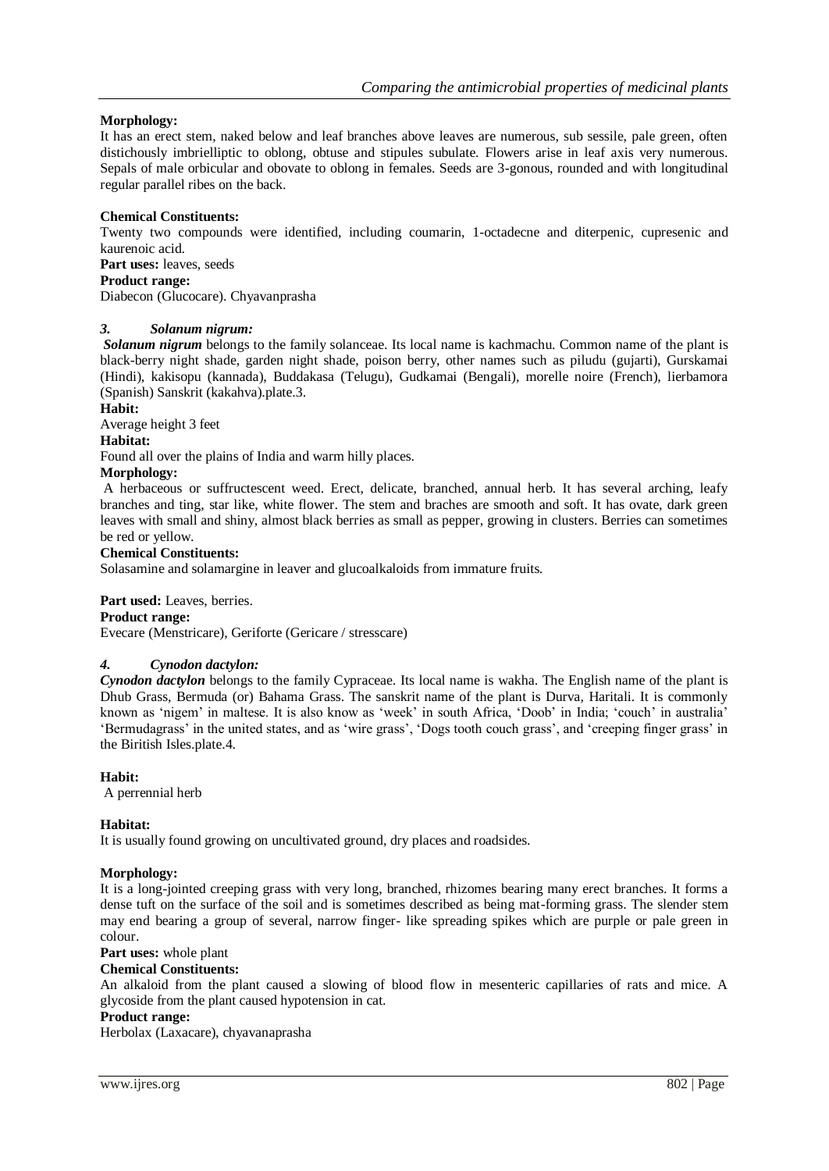### **Morphology:**

It has an erect stem, naked below and leaf branches above leaves are numerous, sub sessile, pale green, often distichously imbrielliptic to oblong, obtuse and stipules subulate. Flowers arise in leaf axis very numerous. Sepals of male orbicular and obovate to oblong in females. Seeds are 3-gonous, rounded and with longitudinal regular parallel ribes on the back.

#### **Chemical Constituents:**

Twenty two compounds were identified, including coumarin, 1-octadecne and diterpenic, cupresenic and kaurenoic acid.

**Part uses:** leaves, seeds

#### **Product range:**

Diabecon (Glucocare). Chyavanprasha

#### *3. Solanum nigrum:*

*Solanum nigrum* belongs to the family solanceae. Its local name is kachmachu. Common name of the plant is black-berry night shade, garden night shade, poison berry, other names such as piludu (gujarti), Gurskamai (Hindi), kakisopu (kannada), Buddakasa (Telugu), Gudkamai (Bengali), morelle noire (French), lierbamora (Spanish) Sanskrit (kakahva).plate.3.

#### **Habit:**

Average height 3 feet

#### **Habitat:**

Found all over the plains of India and warm hilly places.

#### **Morphology:**

A herbaceous or suffructescent weed. Erect, delicate, branched, annual herb. It has several arching, leafy branches and ting, star like, white flower. The stem and braches are smooth and soft. It has ovate, dark green leaves with small and shiny, almost black berries as small as pepper, growing in clusters. Berries can sometimes be red or yellow.

#### **Chemical Constituents:**

Solasamine and solamargine in leaver and glucoalkaloids from immature fruits.

#### **Part used:** Leaves, berries.

#### **Product range:**

Evecare (Menstricare), Geriforte (Gericare / stresscare)

### *4. Cynodon dactylon:*

*Cynodon dactylon* belongs to the family Cypraceae. Its local name is wakha. The English name of the plant is Dhub Grass, Bermuda (or) Bahama Grass. The sanskrit name of the plant is Durva, Haritali. It is commonly known as 'nigem' in maltese. It is also know as 'week' in south Africa, 'Doob' in India; 'couch' in australia' 'Bermudagrass' in the united states, and as 'wire grass', 'Dogs tooth couch grass', and 'creeping finger grass' in the Biritish Isles.plate.4.

#### **Habit:**

A perrennial herb

#### **Habitat:**

It is usually found growing on uncultivated ground, dry places and roadsides.

#### **Morphology:**

It is a long-jointed creeping grass with very long, branched, rhizomes bearing many erect branches. It forms a dense tuft on the surface of the soil and is sometimes described as being mat-forming grass. The slender stem may end bearing a group of several, narrow finger- like spreading spikes which are purple or pale green in colour.

## **Part uses:** whole plant

#### **Chemical Constituents:**

An alkaloid from the plant caused a slowing of blood flow in mesenteric capillaries of rats and mice. A glycoside from the plant caused hypotension in cat.

#### **Product range:**

Herbolax (Laxacare), chyavanaprasha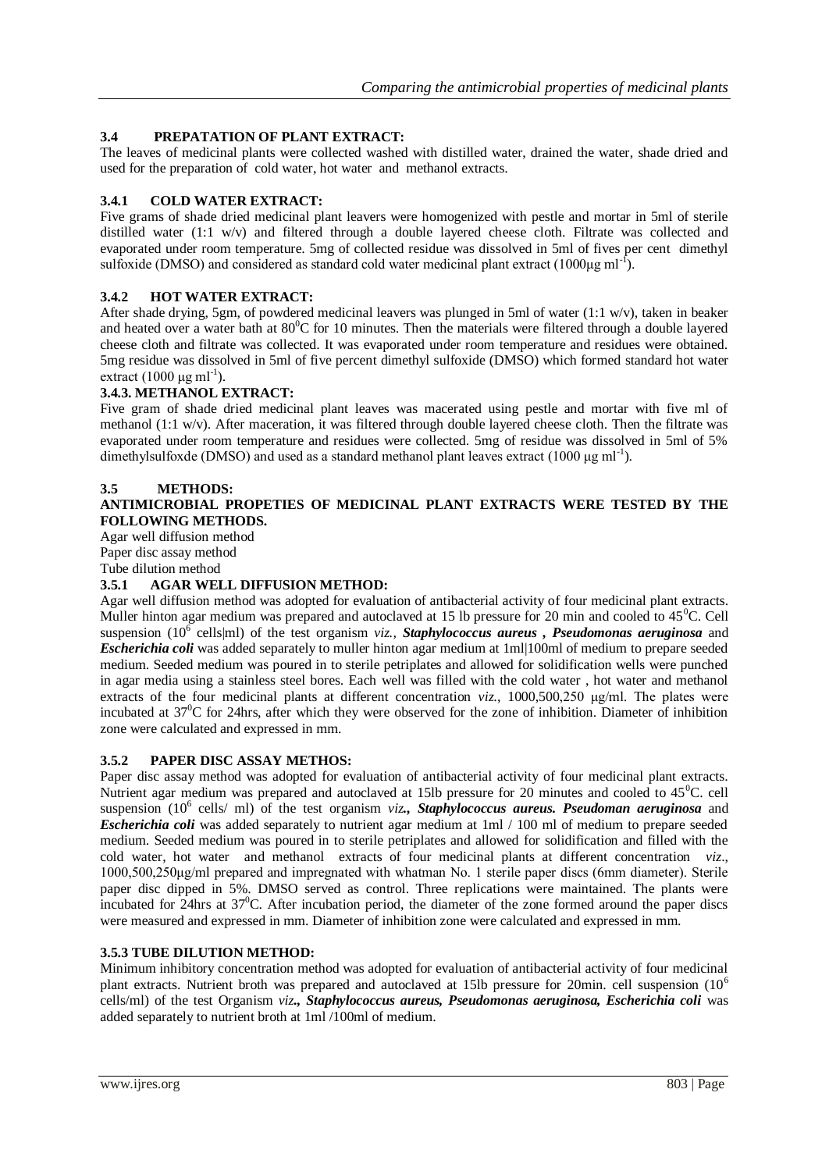## **3.4 PREPATATION OF PLANT EXTRACT:**

The leaves of medicinal plants were collected washed with distilled water, drained the water, shade dried and used for the preparation of cold water, hot water and methanol extracts.

### **3.4.1 COLD WATER EXTRACT:**

Five grams of shade dried medicinal plant leavers were homogenized with pestle and mortar in 5ml of sterile distilled water (1:1 w/v) and filtered through a double layered cheese cloth. Filtrate was collected and evaporated under room temperature. 5mg of collected residue was dissolved in 5ml of fives per cent dimethyl sulfoxide (DMSO) and considered as standard cold water medicinal plant extract  $(1000\mu g \text{ ml}^{-1})$ .

### **3.4.2 HOT WATER EXTRACT:**

After shade drying, 5gm, of powdered medicinal leavers was plunged in 5ml of water (1:1 w/v), taken in beaker and heated over a water bath at  $80^{\circ}$ C for 10 minutes. Then the materials were filtered through a double layered cheese cloth and filtrate was collected. It was evaporated under room temperature and residues were obtained. 5mg residue was dissolved in 5ml of five percent dimethyl sulfoxide (DMSO) which formed standard hot water extract  $(1000 \mu g \text{ ml}^{-1})$ .

### **3.4.3. METHANOL EXTRACT:**

Five gram of shade dried medicinal plant leaves was macerated using pestle and mortar with five ml of methanol (1:1 w/v). After maceration, it was filtered through double layered cheese cloth. Then the filtrate was evaporated under room temperature and residues were collected. 5mg of residue was dissolved in 5ml of 5% dimethylsulfoxde (DMSO) and used as a standard methanol plant leaves extract (1000 μg ml<sup>-1</sup>).

#### **3.5 METHODS:**

#### **ANTIMICROBIAL PROPETIES OF MEDICINAL PLANT EXTRACTS WERE TESTED BY THE FOLLOWING METHODS.**

Agar well diffusion method Paper disc assay method Tube dilution method

#### **3.5.1 AGAR WELL DIFFUSION METHOD:**

Agar well diffusion method was adopted for evaluation of antibacterial activity of four medicinal plant extracts. Muller hinton agar medium was prepared and autoclaved at 15 lb pressure for 20 min and cooled to  $45^{\circ}$ C. Cell suspension (10<sup>6</sup> cells|ml) of the test organism *viz., Staphylococcus aureus, Pseudomonas aeruginosa* and *Escherichia coli* was added separately to muller hinton agar medium at 1ml|100ml of medium to prepare seeded medium. Seeded medium was poured in to sterile petriplates and allowed for solidification wells were punched in agar media using a stainless steel bores. Each well was filled with the cold water , hot water and methanol extracts of the four medicinal plants at different concentration *viz*., 1000,500,250 μg/ml. The plates were incubated at  $37^{\circ}$ C for 24hrs, after which they were observed for the zone of inhibition. Diameter of inhibition zone were calculated and expressed in mm.

#### **3.5.2 PAPER DISC ASSAY METHOS:**

Paper disc assay method was adopted for evaluation of antibacterial activity of four medicinal plant extracts. Nutrient agar medium was prepared and autoclaved at 15lb pressure for 20 minutes and cooled to  $45^{\circ}$ C. cell suspension (10<sup>6</sup> cells/ ml) of the test organism *viz*, **Staphylococcus aureus. Pseudoman aeruginosa** and *Escherichia coli* was added separately to nutrient agar medium at 1ml / 100 ml of medium to prepare seeded medium. Seeded medium was poured in to sterile petriplates and allowed for solidification and filled with the cold water, hot water and methanol extracts of four medicinal plants at different concentration *viz*., 1000,500,250μg/ml prepared and impregnated with whatman No. 1 sterile paper discs (6mm diameter). Sterile paper disc dipped in 5%. DMSO served as control. Three replications were maintained. The plants were incubated for  $24$ hrs at  $37^{\circ}$ C. After incubation period, the diameter of the zone formed around the paper discs were measured and expressed in mm. Diameter of inhibition zone were calculated and expressed in mm.

#### **3.5.3 TUBE DILUTION METHOD:**

Minimum inhibitory concentration method was adopted for evaluation of antibacterial activity of four medicinal plant extracts. Nutrient broth was prepared and autoclaved at 15lb pressure for 20min. cell suspension (10<sup>6</sup>) cells/ml) of the test Organism *viz., Staphylococcus aureus, Pseudomonas aeruginosa, Escherichia coli* was added separately to nutrient broth at 1ml /100ml of medium.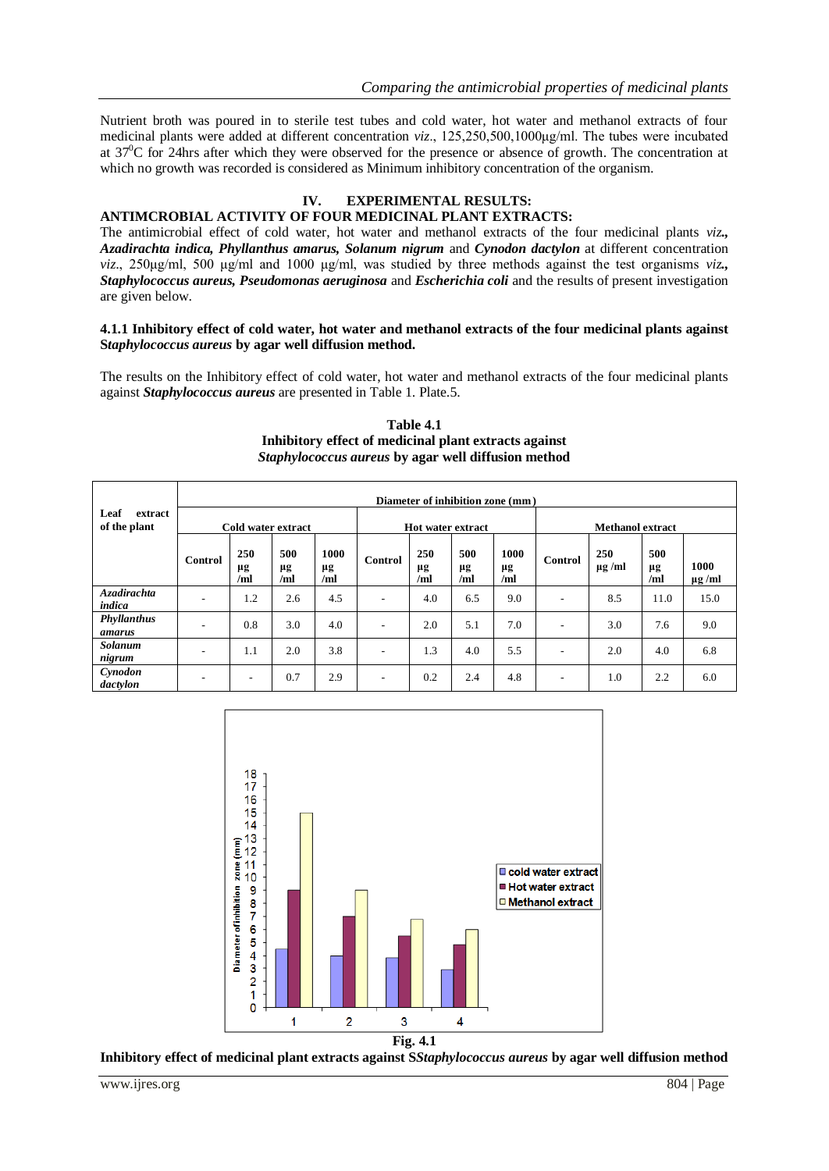Nutrient broth was poured in to sterile test tubes and cold water, hot water and methanol extracts of four medicinal plants were added at different concentration *viz*., 125,250,500,1000μg/ml. The tubes were incubated at  $37^{\circ}$ C for 24hrs after which they were observed for the presence or absence of growth. The concentration at which no growth was recorded is considered as Minimum inhibitory concentration of the organism.

## **IV. EXPERIMENTAL RESULTS:**

### **ANTIMCROBIAL ACTIVITY OF FOUR MEDICINAL PLANT EXTRACTS:**

The antimicrobial effect of cold water, hot water and methanol extracts of the four medicinal plants *viz., Azadirachta indica, Phyllanthus amarus, Solanum nigrum* and *Cynodon dactylon* at different concentration *viz*., 250μg/ml, 500 μg/ml and 1000 μg/ml, was studied by three methods against the test organisms *viz., Staphylococcus aureus, Pseudomonas aeruginosa* and *Escherichia coli* and the results of present investigation are given below.

#### **4.1.1 Inhibitory effect of cold water, hot water and methanol extracts of the four medicinal plants against S***taphylococcus aureus* **by agar well diffusion method.**

The results on the Inhibitory effect of cold water, hot water and methanol extracts of the four medicinal plants against *Staphylococcus aureus* are presented in Table 1. Plate.5.

| Table 4.1                                                  |
|------------------------------------------------------------|
| Inhibitory effect of medicinal plant extracts against      |
| <i>Staphylococcus aureus</i> by agar well diffusion method |

|                                 |                    | Diameter of inhibition zone (mm) |                  |                   |                          |                          |                  |                   |                          |                           |                  |                     |  |  |
|---------------------------------|--------------------|----------------------------------|------------------|-------------------|--------------------------|--------------------------|------------------|-------------------|--------------------------|---------------------------|------------------|---------------------|--|--|
| Leaf<br>extract<br>of the plant | Cold water extract |                                  |                  |                   |                          | <b>Hot water extract</b> |                  |                   |                          | <b>Methanol extract</b>   |                  |                     |  |  |
|                                 | Control            | 250<br>μg<br>/ml                 | 500<br>μg<br>/ml | 1000<br>μg<br>/ml | Control                  | 250<br>μg<br>/ml         | 500<br>μg<br>/ml | 1000<br>μg<br>/ml | Control                  | <b>250</b><br>$\mu$ g /ml | 500<br>μg<br>/ml | 1000<br>$\mu$ g /ml |  |  |
| <b>Azadirachta</b><br>indica    | ۰                  | 1.2                              | 2.6              | 4.5               | -                        | 4.0                      | 6.5              | 9.0               | ٠                        | 8.5                       | 11.0             | 15.0                |  |  |
| Phyllanthus<br>amarus           |                    | 0.8                              | 3.0              | 4.0               | $\overline{\phantom{a}}$ | 2.0                      | 5.1              | 7.0               | $\overline{\phantom{a}}$ | 3.0                       | 7.6              | 9.0                 |  |  |
| Solanum<br>nigrum               | ۰                  | 1.1                              | 2.0              | 3.8               | $\qquad \qquad$          | 1.3                      | 4.0              | 5.5               | $\overline{\phantom{a}}$ | 2.0                       | 4.0              | 6.8                 |  |  |
| Cynodon<br>dactylon             | -                  | -                                | 0.7              | 2.9               | $\overline{\phantom{a}}$ | 0.2                      | 2.4              | 4.8               | $\overline{\phantom{a}}$ | 1.0                       | 2.2              | 6.0                 |  |  |



**Inhibitory effect of medicinal plant extracts against S***Staphylococcus aureus* **by agar well diffusion method**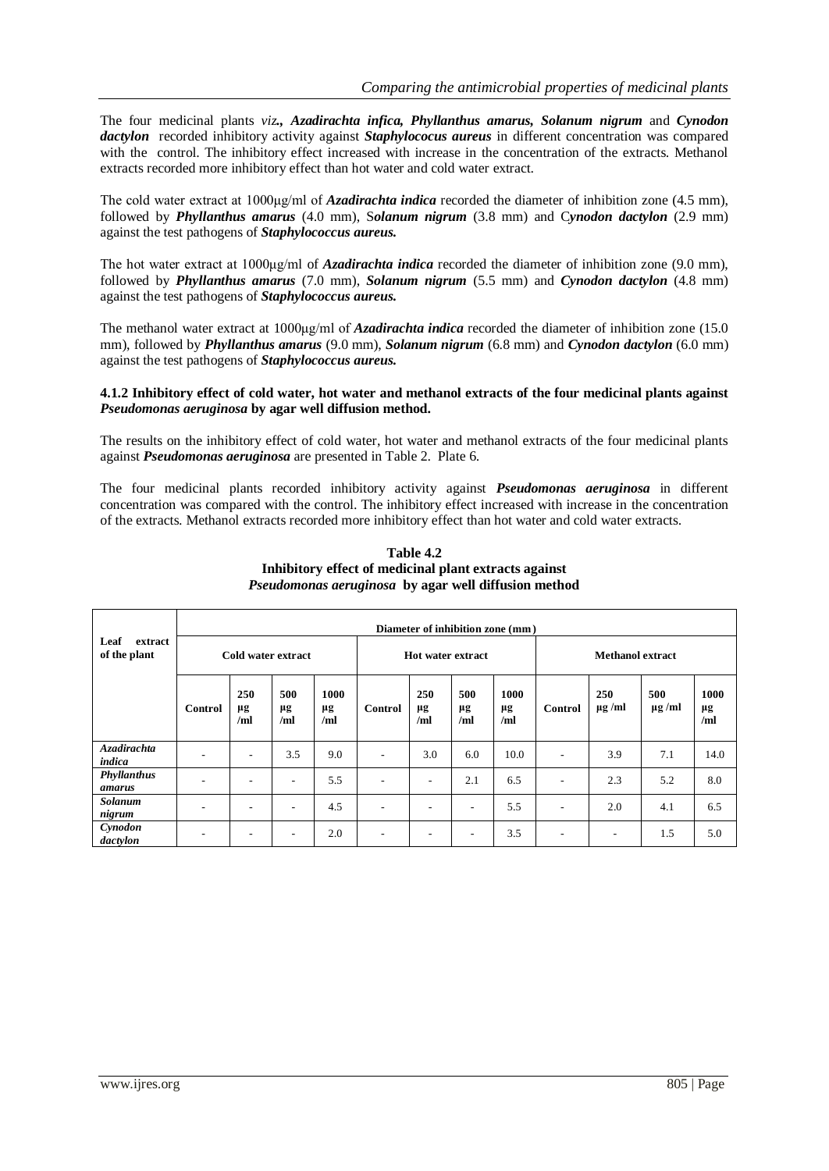The four medicinal plants *viz., Azadirachta infica, Phyllanthus amarus, Solanum nigrum* and *Cynodon dactylon* recorded inhibitory activity against *Staphylococus aureus* in different concentration was compared with the control. The inhibitory effect increased with increase in the concentration of the extracts. Methanol extracts recorded more inhibitory effect than hot water and cold water extract.

The cold water extract at 1000μg/ml of *Azadirachta indica* recorded the diameter of inhibition zone (4.5 mm), followed by *Phyllanthus amarus* (4.0 mm), S*olanum nigrum* (3.8 mm) and C*ynodon dactylon* (2.9 mm) against the test pathogens of *Staphylococcus aureus.* 

The hot water extract at 1000μg/ml of *Azadirachta indica* recorded the diameter of inhibition zone (9.0 mm), followed by *Phyllanthus amarus* (7.0 mm), *Solanum nigrum* (5.5 mm) and *Cynodon dactylon* (4.8 mm) against the test pathogens of *Staphylococcus aureus.* 

The methanol water extract at 1000μg/ml of *Azadirachta indica* recorded the diameter of inhibition zone (15.0 mm), followed by *Phyllanthus amarus* (9.0 mm), *Solanum nigrum* (6.8 mm) and *Cynodon dactylon* (6.0 mm) against the test pathogens of *Staphylococcus aureus.* 

#### **4.1.2 Inhibitory effect of cold water, hot water and methanol extracts of the four medicinal plants against** *Pseudomonas aeruginosa* **by agar well diffusion method.**

The results on the inhibitory effect of cold water, hot water and methanol extracts of the four medicinal plants against *Pseudomonas aeruginosa* are presented in Table 2. Plate 6.

The four medicinal plants recorded inhibitory activity against *Pseudomonas aeruginosa* in different concentration was compared with the control. The inhibitory effect increased with increase in the concentration of the extracts. Methanol extracts recorded more inhibitory effect than hot water and cold water extracts.

|                                 |                    | Diameter of inhibition zone (mm) |                  |                   |                          |                          |                          |                   |                          |                          |                   |                   |  |  |  |
|---------------------------------|--------------------|----------------------------------|------------------|-------------------|--------------------------|--------------------------|--------------------------|-------------------|--------------------------|--------------------------|-------------------|-------------------|--|--|--|
| Leaf<br>extract<br>of the plant | Cold water extract |                                  |                  |                   | <b>Hot water extract</b> |                          |                          |                   | <b>Methanol extract</b>  |                          |                   |                   |  |  |  |
|                                 | Control            | 250<br>μg<br>/ml                 | 500<br>μg<br>/ml | 1000<br>μg<br>/ml | Control                  | 250<br>μg<br>/ml         | 500<br>μg<br>/ml         | 1000<br>μg<br>/ml | Control                  | 250<br>$\mu$ g /ml       | 500<br>$\mu$ g/ml | 1000<br>μg<br>/ml |  |  |  |
| <b>Azadirachta</b><br>indica    |                    | $\overline{\phantom{a}}$         | 3.5              | 9.0               | $\overline{\phantom{a}}$ | 3.0                      | 6.0                      | 10.0              | $\overline{\phantom{a}}$ | 3.9                      | 7.1               | 14.0              |  |  |  |
| Phyllanthus<br>amarus           |                    | ۰                                |                  | 5.5               |                          |                          | 2.1                      | 6.5               | $\overline{\phantom{a}}$ | 2.3                      | 5.2               | 8.0               |  |  |  |
| <b>Solanum</b><br>nigrum        |                    | ۰                                | ٠                | 4.5               | $\overline{\phantom{a}}$ | $\overline{\phantom{a}}$ | $\overline{\phantom{a}}$ | 5.5               | $\overline{\phantom{a}}$ | 2.0                      | 4.1               | 6.5               |  |  |  |
| Cynodon<br>dactylon             |                    | ۰                                | -                | 2.0               | $\overline{\phantom{a}}$ | -                        | $\overline{\phantom{a}}$ | 3.5               | $\overline{\phantom{a}}$ | $\overline{\phantom{a}}$ | 1.5               | 5.0               |  |  |  |

#### **Table 4.2 Inhibitory effect of medicinal plant extracts against** *Pseudomonas aeruginosa* **by agar well diffusion method**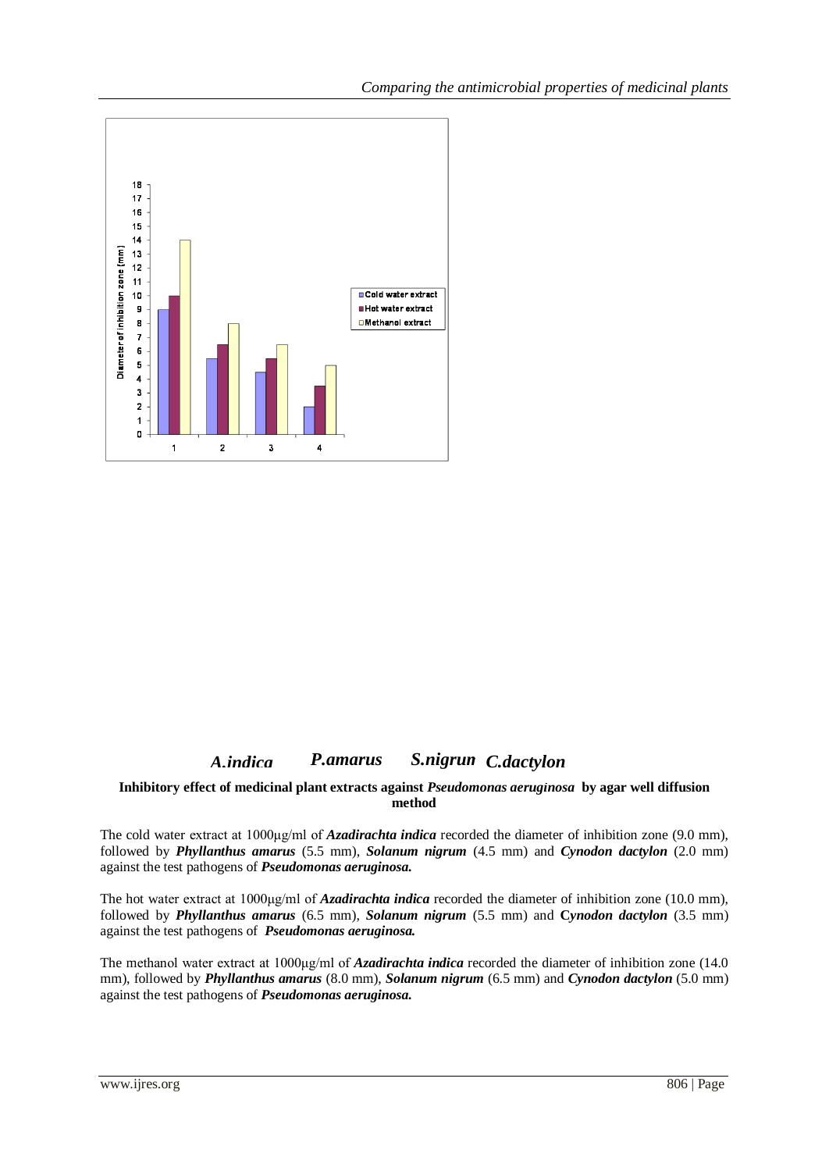

# **Fig. 4.2** *A.indica P.amarus S.nigrum C.dactylon*

#### **Inhibitory effect of medicinal plant extracts against** *Pseudomonas aeruginosa* **by agar well diffusion method**

The cold water extract at 1000μg/ml of *Azadirachta indica* recorded the diameter of inhibition zone (9.0 mm), followed by *Phyllanthus amarus* (5.5 mm), *Solanum nigrum* (4.5 mm) and *Cynodon dactylon* (2.0 mm) against the test pathogens of *Pseudomonas aeruginosa.* 

The hot water extract at 1000μg/ml of *Azadirachta indica* recorded the diameter of inhibition zone (10.0 mm), followed by *Phyllanthus amarus* (6.5 mm), *Solanum nigrum* (5.5 mm) and **C***ynodon dactylon* (3.5 mm) against the test pathogens of *Pseudomonas aeruginosa.*

The methanol water extract at 1000μg/ml of *Azadirachta indica* recorded the diameter of inhibition zone (14.0 mm), followed by *Phyllanthus amarus* (8.0 mm), *Solanum nigrum* (6.5 mm) and *Cynodon dactylon* (5.0 mm) against the test pathogens of *Pseudomonas aeruginosa.*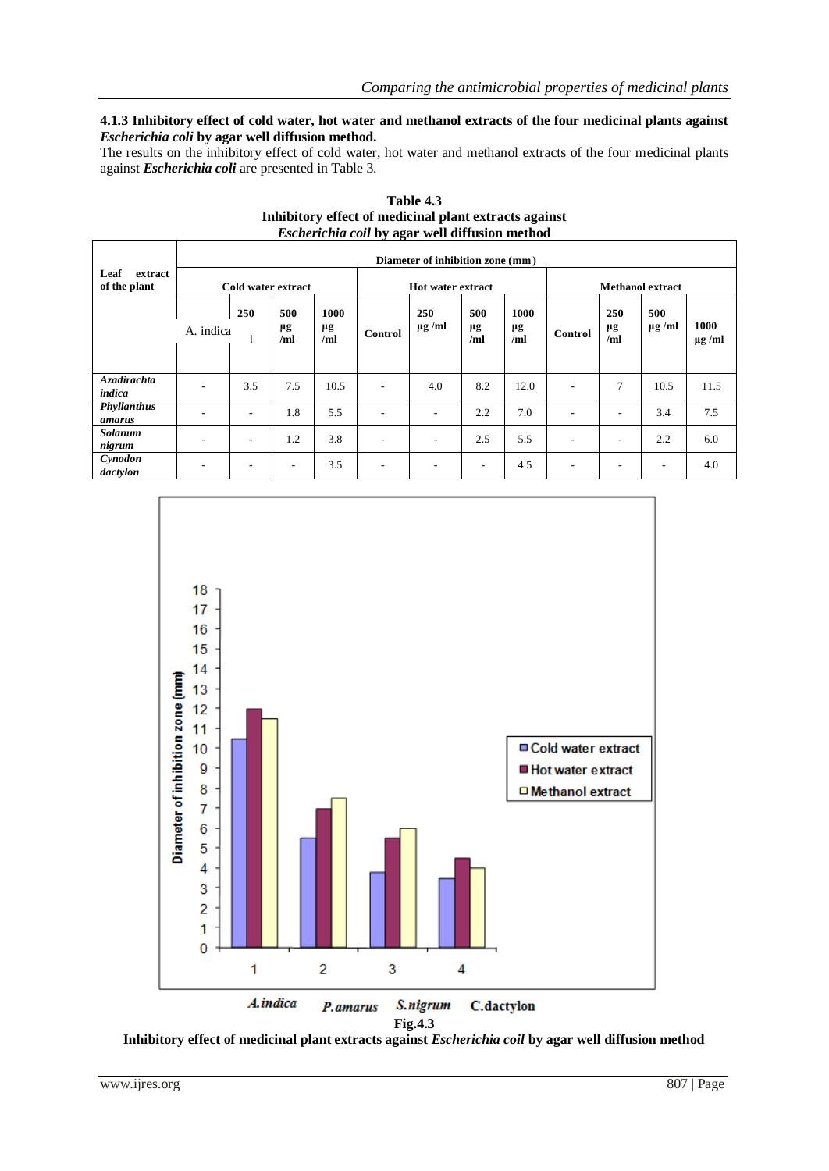#### **4.1.3 Inhibitory effect of cold water, hot water and methanol extracts of the four medicinal plants against**  *Escherichia coli* **by agar well diffusion method.**

The results on the inhibitory effect of cold water, hot water and methanol extracts of the four medicinal plants against *Escherichia coli* are presented in Table 3.

|                                 |                    | Diameter of inhibition zone (mm) |                  |                   |                          |                    |                          |                   |                          |                          |                    |                    |  |  |
|---------------------------------|--------------------|----------------------------------|------------------|-------------------|--------------------------|--------------------|--------------------------|-------------------|--------------------------|--------------------------|--------------------|--------------------|--|--|
| Leaf<br>extract<br>of the plant | Cold water extract |                                  |                  |                   | <b>Hot water extract</b> |                    |                          |                   | <b>Methanol extract</b>  |                          |                    |                    |  |  |
|                                 | A. indica          | 250                              | 500<br>μg<br>/ml | 1000<br>μg<br>/ml | Control                  | 250<br>$\mu$ g /ml | 500<br>μg<br>/ml         | 1000<br>μg<br>/ml | Control                  | 250<br>μg<br>/ml         | 500<br>$\mu$ g /ml | 1000<br>$\mu$ g/ml |  |  |
| <b>Azadirachta</b><br>indica    |                    | 3.5                              | 7.5              | 10.5              | $\overline{\phantom{a}}$ | 4.0                | 8.2                      | 12.0              | ٠                        | 7                        | 10.5               | 11.5               |  |  |
| Phyllanthus<br>amarus           |                    |                                  | 1.8              | 5.5               | $\overline{\phantom{a}}$ | ۰                  | 2.2                      | 7.0               |                          |                          | 3.4                | 7.5                |  |  |
| <b>Solanum</b><br>nigrum        |                    | ۰                                | 1.2              | 3.8               | $\overline{\phantom{a}}$ | -                  | 2.5                      | 5.5               | $\overline{\phantom{a}}$ | ۰                        | 2.2                | 6.0                |  |  |
| Cynodon<br>dactylon             |                    |                                  | ٠                | 3.5               | $\overline{\phantom{a}}$ | -                  | $\overline{\phantom{a}}$ | 4.5               | ٠                        | $\overline{\phantom{a}}$ | ۰.                 | 4.0                |  |  |



**Table 4.3 Inhibitory effect of medicinal plant extracts against** *Escherichia coil* **by agar well diffusion method**

**Inhibitory effect of medicinal plant extracts against** *Escherichia coil* **by agar well diffusion method**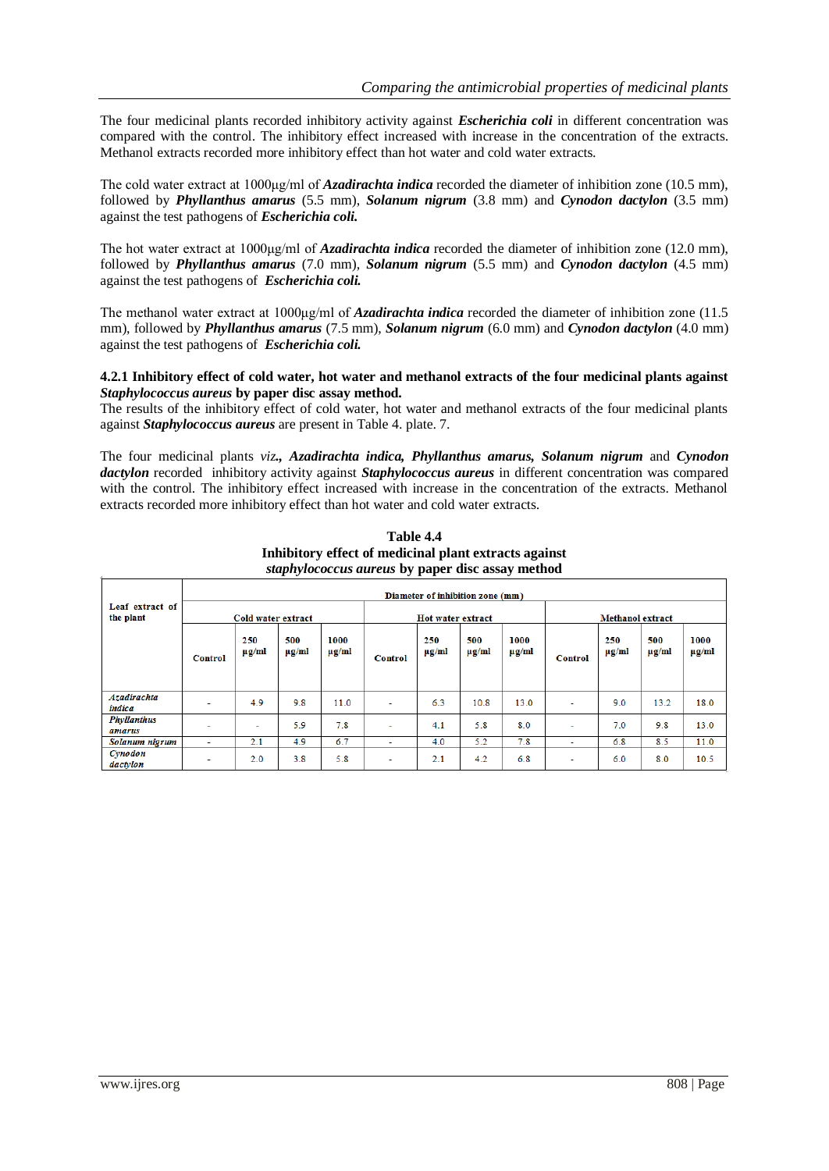The four medicinal plants recorded inhibitory activity against *Escherichia coli* in different concentration was compared with the control. The inhibitory effect increased with increase in the concentration of the extracts. Methanol extracts recorded more inhibitory effect than hot water and cold water extracts.

The cold water extract at 1000μg/ml of *Azadirachta indica* recorded the diameter of inhibition zone (10.5 mm), followed by *Phyllanthus amarus* (5.5 mm), *Solanum nigrum* (3.8 mm) and *Cynodon dactylon* (3.5 mm) against the test pathogens of *Escherichia coli.*

The hot water extract at 1000μg/ml of *Azadirachta indica* recorded the diameter of inhibition zone (12.0 mm), followed by *Phyllanthus amarus* (7.0 mm), *Solanum nigrum* (5.5 mm) and *Cynodon dactylon* (4.5 mm) against the test pathogens of *Escherichia coli.*

The methanol water extract at 1000μg/ml of *Azadirachta indica* recorded the diameter of inhibition zone (11.5 mm), followed by *Phyllanthus amarus* (7.5 mm), *Solanum nigrum* (6.0 mm) and *Cynodon dactylon* (4.0 mm) against the test pathogens of *Escherichia coli.*

#### **4.2.1 Inhibitory effect of cold water, hot water and methanol extracts of the four medicinal plants against**  *Staphylococcus aureus* **by paper disc assay method.**

The results of the inhibitory effect of cold water, hot water and methanol extracts of the four medicinal plants against *Staphylococcus aureus* are present in Table 4. plate. 7.

The four medicinal plants *viz., Azadirachta indica, Phyllanthus amarus, Solanum nigrum* and *Cynodon dactylon* recorded inhibitory activity against *Staphylococcus aureus* in different concentration was compared with the control. The inhibitory effect increased with increase in the concentration of the extracts. Methanol extracts recorded more inhibitory effect than hot water and cold water extracts.

|                              |                    | Diameter of inhibition zone (mm) |                   |                    |                          |                   |                   |                    |                         |                   |                   |                    |  |  |
|------------------------------|--------------------|----------------------------------|-------------------|--------------------|--------------------------|-------------------|-------------------|--------------------|-------------------------|-------------------|-------------------|--------------------|--|--|
| Leaf extract of<br>the plant | Cold water extract |                                  |                   |                    | Hot water extract        |                   |                   |                    | <b>Methanol extract</b> |                   |                   |                    |  |  |
|                              | Control            | 250<br>$\mu$ g/ml                | 500<br>$\mu$ g/ml | 1000<br>$\mu$ g/ml | <b>Control</b>           | 250<br>$\mu$ g/ml | 500<br>$\mu$ g/ml | 1000<br>$\mu$ g/ml | Control                 | 250<br>$\mu$ g/ml | 500<br>$\mu$ g/ml | 1000<br>$\mu$ g/ml |  |  |
| <b>Azadirachta</b><br>indica | ÷                  | 4.9                              | 9.8               | 11.0               | $\overline{\phantom{a}}$ | 6.3               | 10.8              | 13.0               | ٠                       | 9.0               | 13.2              | 18.0               |  |  |
| <b>Phyllanthus</b><br>amarus | ۰                  | $\overline{\phantom{a}}$         | 5.9               | 7.8                | ٠                        | 4.1               | 5.8               | 8.0                | ٠                       | 7.0               | 9.8               | 13.0               |  |  |
| Solanum nigrum               | ÷                  | 2.1                              | 4.9               | 6.7                | ٠                        | 4.0               | 5.2               | 7.8                | $\sim$                  | 6.8               | 8.5               | 11.0               |  |  |
| Cynodon<br>dactylon          |                    | 2.0                              | 3.8               | 5.8                | ٠                        | 2.1               | 4.2               | 6.8                | ٠                       | 6.0               | 8.0               | 10.5               |  |  |

**Table 4.4 Inhibitory effect of medicinal plant extracts against** *staphylococcus aureus* **by paper disc assay method**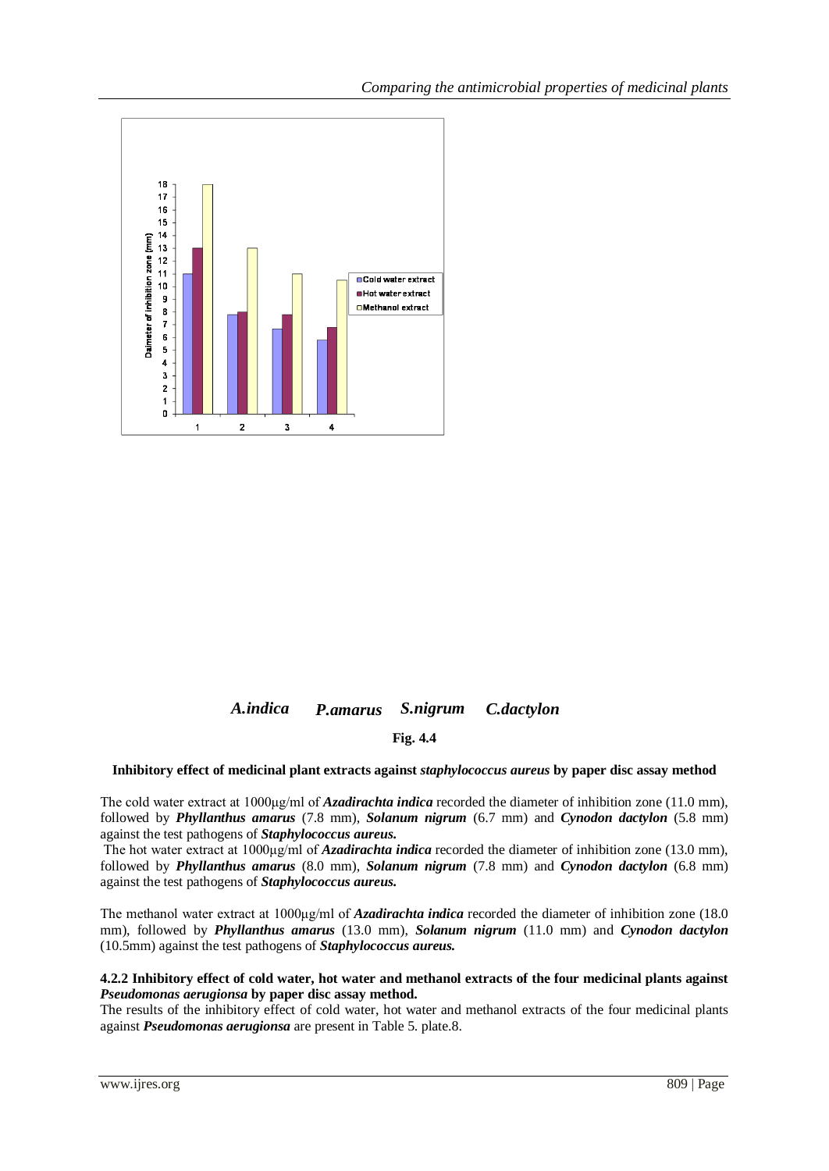

## *A.indica P.amarus S.nigrum C.dactylon*

### **Fig. 4.4**

#### **Inhibitory effect of medicinal plant extracts against** *staphylococcus aureus* **by paper disc assay method**

The cold water extract at 1000μg/ml of *Azadirachta indica* recorded the diameter of inhibition zone (11.0 mm), followed by *Phyllanthus amarus* (7.8 mm), *Solanum nigrum* (6.7 mm) and *Cynodon dactylon* (5.8 mm) against the test pathogens of *Staphylococcus aureus.*

The hot water extract at 1000μg/ml of *Azadirachta indica* recorded the diameter of inhibition zone (13.0 mm), followed by *Phyllanthus amarus* (8.0 mm), *Solanum nigrum* (7.8 mm) and *Cynodon dactylon* (6.8 mm) against the test pathogens of *Staphylococcus aureus.*

The methanol water extract at 1000μg/ml of *Azadirachta indica* recorded the diameter of inhibition zone (18.0 mm), followed by *Phyllanthus amarus* (13.0 mm), *Solanum nigrum* (11.0 mm) and *Cynodon dactylon* (10.5mm) against the test pathogens of *Staphylococcus aureus.*

#### **4.2.2 Inhibitory effect of cold water, hot water and methanol extracts of the four medicinal plants against**  *Pseudomonas aerugionsa* **by paper disc assay method.**

The results of the inhibitory effect of cold water, hot water and methanol extracts of the four medicinal plants against *Pseudomonas aerugionsa* are present in Table 5. plate.8.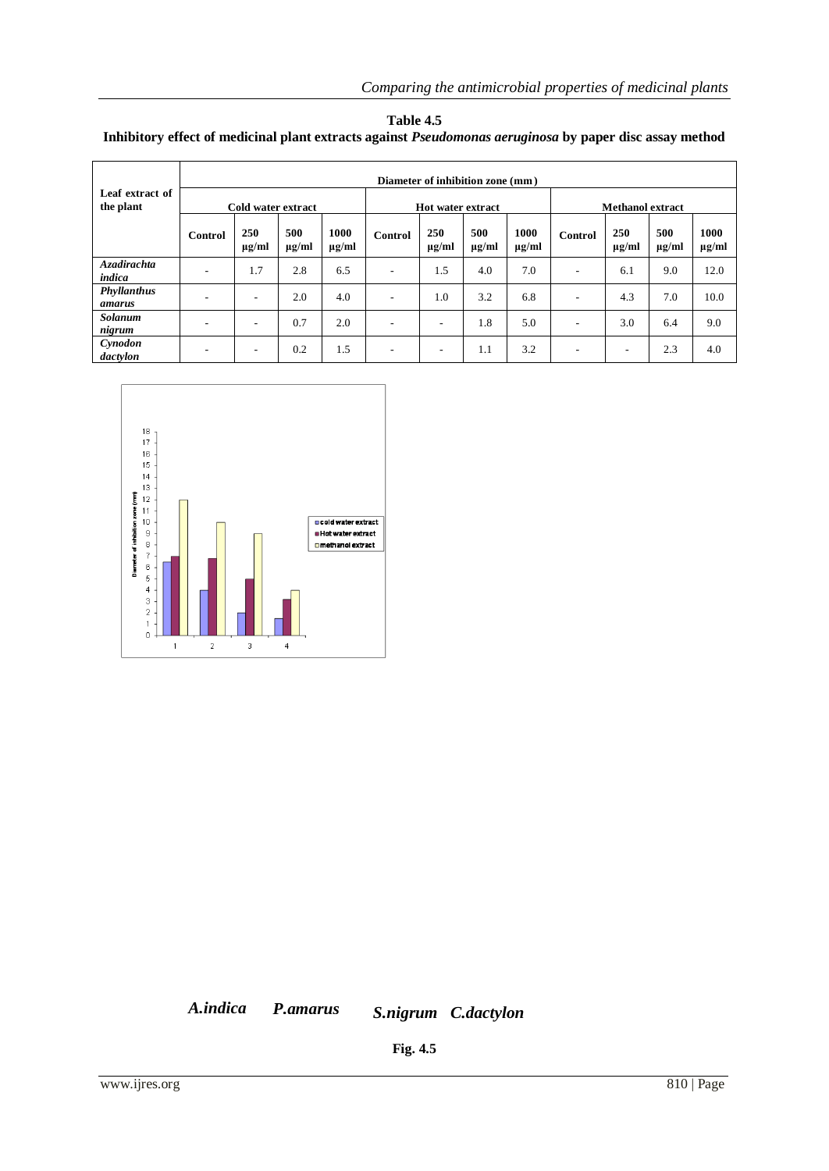| Table 4.5                                                                                                      |  |
|----------------------------------------------------------------------------------------------------------------|--|
| Inhibitory effect of medicinal plant extracts against <i>Pseudomonas aeruginosa</i> by paper disc assay method |  |

|                              | Diameter of inhibition zone (mm) |                                                                                                                   |     |                    |                              |                          |                   |                    |   |                         |     |      |  |  |  |  |  |
|------------------------------|----------------------------------|-------------------------------------------------------------------------------------------------------------------|-----|--------------------|------------------------------|--------------------------|-------------------|--------------------|---|-------------------------|-----|------|--|--|--|--|--|
| Leaf extract of<br>the plant |                                  | Cold water extract                                                                                                |     |                    |                              | <b>Hot water extract</b> |                   |                    |   | <b>Methanol extract</b> |     |      |  |  |  |  |  |
|                              | Control                          | 250<br>250<br>500<br>500<br>1000<br>Control<br>$\mu$ g/ml<br>$\mu$ g/ml<br>$\mu$ g/ml<br>$\mu$ g/ml<br>$\mu$ g/ml |     | 1000<br>$\mu$ g/ml | 250<br>Control<br>$\mu$ g/ml |                          | 500<br>$\mu$ g/ml | 1000<br>$\mu$ g/ml |   |                         |     |      |  |  |  |  |  |
| <b>Azadirachta</b><br>indica | $\overline{\phantom{a}}$         | 1.7                                                                                                               | 2.8 | 6.5                | $\overline{\phantom{a}}$     | 1.5                      | 4.0               | 7.0                |   | 6.1                     | 9.0 | 12.0 |  |  |  |  |  |
| Phyllanthus<br>amarus        | $\overline{\phantom{a}}$         | $\overline{\phantom{a}}$                                                                                          | 2.0 | 4.0                | -                            | 1.0                      | 3.2               | 6.8                | ۰ | 4.3                     | 7.0 | 10.0 |  |  |  |  |  |
| <b>Solanum</b><br>nigrum     | $\overline{\phantom{a}}$         | -                                                                                                                 | 0.7 | 2.0                | $\overline{\phantom{a}}$     | ٠                        | 1.8               | 5.0                | ٠ | 3.0                     | 6.4 | 9.0  |  |  |  |  |  |
| Cynodon<br>dactylon          | -                                | -                                                                                                                 | 0.2 | 1.5                | $\overline{\phantom{a}}$     | -                        | 1.1               | 3.2                | ٠ | ۰                       | 2.3 | 4.0  |  |  |  |  |  |



*A.indica P.amarus S.nigrum C.dactylon*

**Fig. 4.5**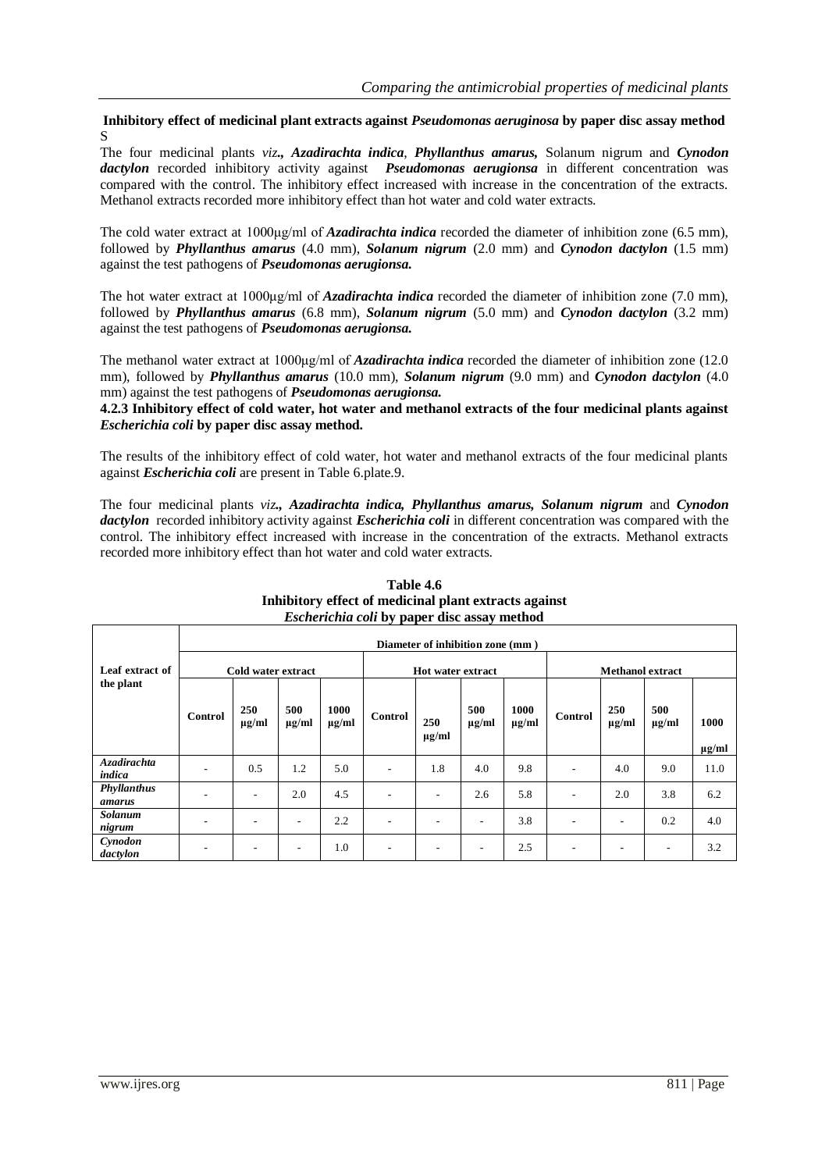**Inhibitory effect of medicinal plant extracts against** *Pseudomonas aeruginosa* **by paper disc assay method** S

The four medicinal plants *viz., Azadirachta indica*, *Phyllanthus amarus,* Solanum nigrum and *Cynodon dactylon* recorded inhibitory activity against *Pseudomonas aerugionsa* in different concentration was compared with the control. The inhibitory effect increased with increase in the concentration of the extracts. Methanol extracts recorded more inhibitory effect than hot water and cold water extracts.

The cold water extract at 1000μg/ml of *Azadirachta indica* recorded the diameter of inhibition zone (6.5 mm), followed by *Phyllanthus amarus* (4.0 mm), *Solanum nigrum* (2.0 mm) and *Cynodon dactylon* (1.5 mm) against the test pathogens of *Pseudomonas aerugionsa.*

The hot water extract at 1000μg/ml of *Azadirachta indica* recorded the diameter of inhibition zone (7.0 mm), followed by *Phyllanthus amarus* (6.8 mm), *Solanum nigrum* (5.0 mm) and *Cynodon dactylon* (3.2 mm) against the test pathogens of *Pseudomonas aerugionsa.* 

The methanol water extract at 1000μg/ml of *Azadirachta indica* recorded the diameter of inhibition zone (12.0 mm), followed by *Phyllanthus amarus* (10.0 mm), *Solanum nigrum* (9.0 mm) and *Cynodon dactylon* (4.0 mm) against the test pathogens of *Pseudomonas aerugionsa.*

**4.2.3 Inhibitory effect of cold water, hot water and methanol extracts of the four medicinal plants against** *Escherichia coli* **by paper disc assay method.**

The results of the inhibitory effect of cold water, hot water and methanol extracts of the four medicinal plants against *Escherichia coli* are present in Table 6.plate.9.

The four medicinal plants *viz., Azadirachta indica, Phyllanthus amarus, Solanum nigrum* and *Cynodon dactylon* recorded inhibitory activity against *Escherichia coli* in different concentration was compared with the control. The inhibitory effect increased with increase in the concentration of the extracts. Methanol extracts recorded more inhibitory effect than hot water and cold water extracts.

|                              |         |                          |                   |                    |                          | Diameter of inhibition zone (mm) |                   |                    |                         |                          |                   |                    |  |  |  |  |  |  |  |  |
|------------------------------|---------|--------------------------|-------------------|--------------------|--------------------------|----------------------------------|-------------------|--------------------|-------------------------|--------------------------|-------------------|--------------------|--|--|--|--|--|--|--|--|
| Leaf extract of              |         | Cold water extract       |                   |                    |                          | <b>Hot water extract</b>         |                   |                    | <b>Methanol extract</b> |                          |                   |                    |  |  |  |  |  |  |  |  |
| the plant                    | Control | <b>250</b><br>$\mu$ g/ml | 500<br>$\mu$ g/ml | 1000<br>$\mu$ g/ml | Control                  | 250<br>$\mu$ g/ml                | 500<br>$\mu$ g/ml | 1000<br>$\mu$ g/ml | Control                 | 250<br>$\mu$ g/ml        | 500<br>$\mu$ g/ml | 1000<br>$\mu$ g/ml |  |  |  |  |  |  |  |  |
| <b>Azadirachta</b><br>indica |         | 0.5                      | 1.2               | 5.0                | $\overline{\phantom{a}}$ | 1.8                              | 4.0               | 9.8                |                         | 4.0                      | 9.0               | 11.0               |  |  |  |  |  |  |  |  |
| Phyllanthus<br>amarus        |         |                          | 2.0               | 4.5                | ٠                        |                                  | 2.6               | 5.8                |                         | 2.0                      | 3.8               | 6.2                |  |  |  |  |  |  |  |  |
| <b>Solanum</b><br>nigrum     |         |                          | ۰                 | 2.2                | $\overline{\phantom{a}}$ | $\overline{\phantom{a}}$         | ۰                 | 3.8                |                         | $\overline{\phantom{a}}$ | 0.2               | 4.0                |  |  |  |  |  |  |  |  |
| Cynodon<br>dactylon          |         |                          | ۰                 | 1.0                | ٠.                       |                                  |                   | 2.5                |                         | ٠                        |                   | 3.2                |  |  |  |  |  |  |  |  |

#### **Table 4.6 Inhibitory effect of medicinal plant extracts against** *Escherichia coli* **by paper disc assay method**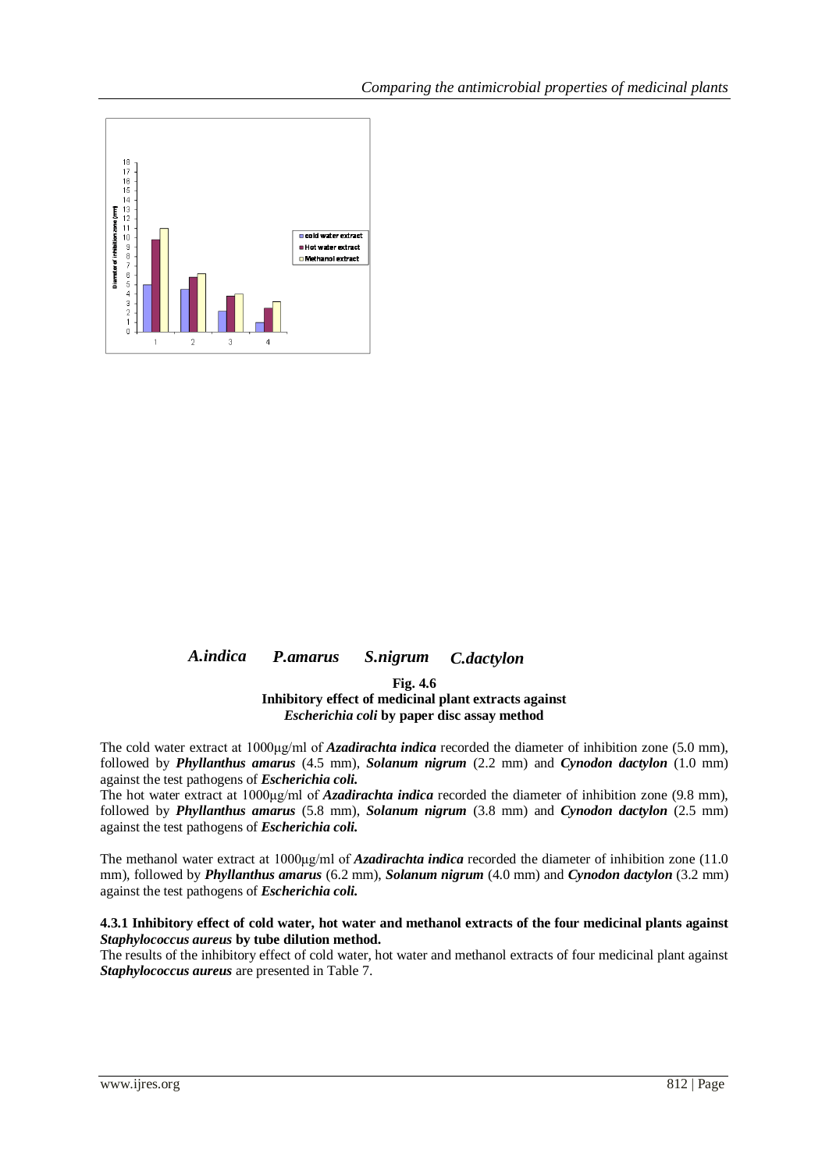

#### *A.indica P.amarus S.nigrum C.dactylon*

**Fig. 4.6**

#### **Inhibitory effect of medicinal plant extracts against** *Escherichia coli* **by paper disc assay method**

The cold water extract at 1000μg/ml of *Azadirachta indica* recorded the diameter of inhibition zone (5.0 mm), followed by *Phyllanthus amarus* (4.5 mm), *Solanum nigrum* (2.2 mm) and *Cynodon dactylon* (1.0 mm) against the test pathogens of *Escherichia coli.*

The hot water extract at 1000μg/ml of *Azadirachta indica* recorded the diameter of inhibition zone (9.8 mm), followed by *Phyllanthus amarus* (5.8 mm), *Solanum nigrum* (3.8 mm) and *Cynodon dactylon* (2.5 mm) against the test pathogens of *Escherichia coli.*

The methanol water extract at 1000μg/ml of *Azadirachta indica* recorded the diameter of inhibition zone (11.0 mm), followed by *Phyllanthus amarus* (6.2 mm), *Solanum nigrum* (4.0 mm) and *Cynodon dactylon* (3.2 mm) against the test pathogens of *Escherichia coli.*

#### **4.3.1 Inhibitory effect of cold water, hot water and methanol extracts of the four medicinal plants against**  *Staphylococcus aureus* **by tube dilution method.**

The results of the inhibitory effect of cold water, hot water and methanol extracts of four medicinal plant against *Staphylococcus aureus* are presented in Table 7.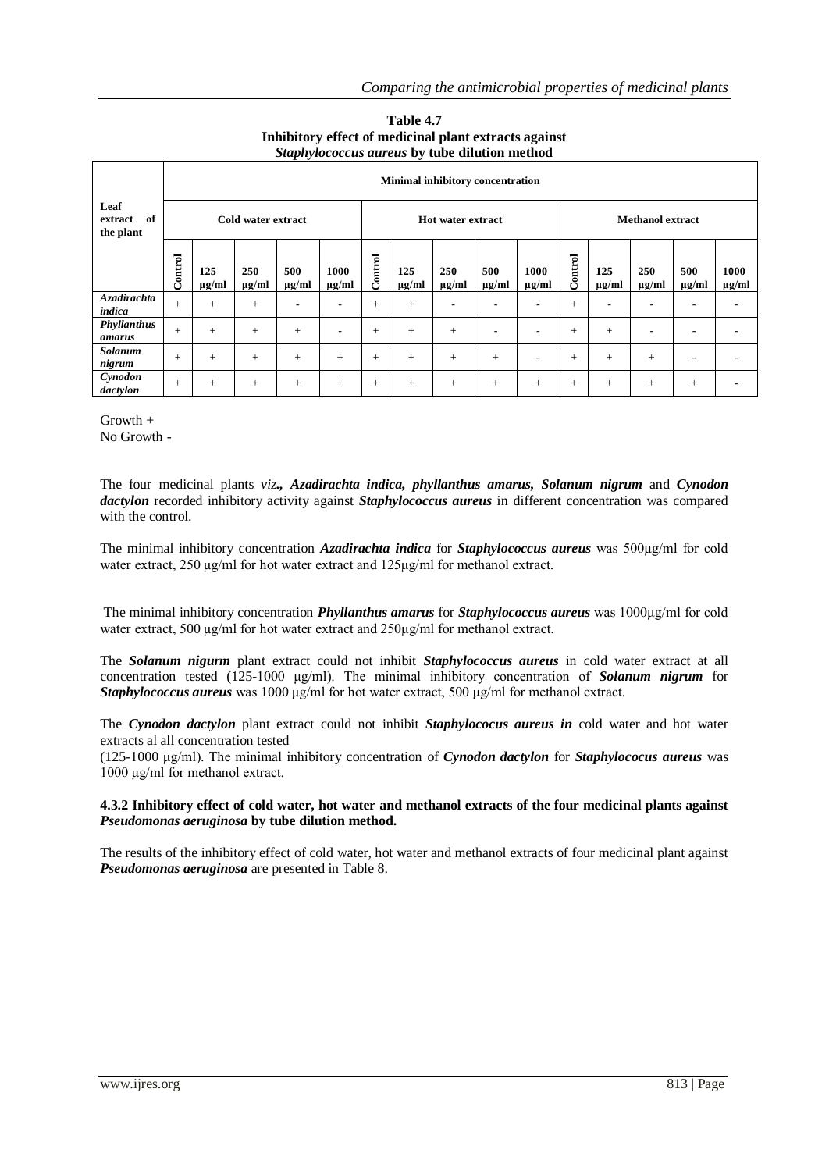|                                    |         | Minimal inhibitory concentration |                    |                          |                          |         |                   |                          |                          |                          |         |                   |                          |                          |                    |  |  |  |
|------------------------------------|---------|----------------------------------|--------------------|--------------------------|--------------------------|---------|-------------------|--------------------------|--------------------------|--------------------------|---------|-------------------|--------------------------|--------------------------|--------------------|--|--|--|
| Leaf<br>of<br>extract<br>the plant |         |                                  | Cold water extract |                          |                          |         |                   | <b>Hot water extract</b> |                          |                          |         |                   | <b>Methanol extract</b>  |                          |                    |  |  |  |
|                                    | Control | 125<br>$\mu$ g/ml                | 250<br>$\mu$ g/ml  | 500<br>$\mu$ g/ml        | 1000<br>$\mu$ g/ml       | Control | 125<br>$\mu$ g/ml | 250<br>$\mu$ g/ml        | 500<br>$\mu$ g/ml        | 1000<br>$\mu$ g/ml       | Control | 125<br>$\mu$ g/ml | 250<br>$\mu$ g/ml        | 500<br>$\mu$ g/ml        | 1000<br>$\mu$ g/ml |  |  |  |
| <b>Azadirachta</b><br>indica       | $+$     | $+$                              | $+$                | $\overline{\phantom{a}}$ | $\overline{\phantom{a}}$ | $^{+}$  | $+$               | ۰                        | $\overline{\phantom{a}}$ | ٠                        | $^{+}$  | ۰                 | -                        | $\overline{\phantom{a}}$ |                    |  |  |  |
| Phyllanthus<br>amarus              | $+$     | $+$                              | $+$                | $+$                      | $\overline{\phantom{a}}$ | $+$     | $+$               | $+$                      | $\overline{\phantom{0}}$ | $\overline{\phantom{a}}$ | $+$     | $+$               | $\overline{\phantom{a}}$ | ٠                        |                    |  |  |  |
| Solanum<br>nigrum                  | $+$     | $+$                              | $+$                | $+$                      | $+$                      | $+$     | $+$               | $+$                      | $+$                      | $\overline{\phantom{a}}$ | $+$     | $^{+}$            | $+$                      | ۰                        |                    |  |  |  |
| Cynodon<br>dactylon                | $+$     | $+$                              | $+$                | $+$                      | $+$                      | $+$     | $+$               | $+$                      | $+$                      | $^{+}$                   | $+$     | $+$               | $+$                      | $^{+}$                   |                    |  |  |  |

#### **Table 4.7 Inhibitory effect of medicinal plant extracts against** *Staphylococcus aureus* **by tube dilution method**

Growth + No Growth -

The four medicinal plants *viz., Azadirachta indica, phyllanthus amarus, Solanum nigrum* and *Cynodon dactylon* recorded inhibitory activity against *Staphylococcus aureus* in different concentration was compared with the control.

The minimal inhibitory concentration *Azadirachta indica* for *Staphylococcus aureus* was 500μg/ml for cold water extract, 250 μg/ml for hot water extract and 125μg/ml for methanol extract.

The minimal inhibitory concentration *Phyllanthus amarus* for *Staphylococcus aureus* was 1000μg/ml for cold water extract, 500 μg/ml for hot water extract and 250μg/ml for methanol extract.

The *Solanum nigurm* plant extract could not inhibit *Staphylococcus aureus* in cold water extract at all concentration tested (125-1000 μg/ml). The minimal inhibitory concentration of *Solanum nigrum* for *Staphylococcus aureus* was 1000 μg/ml for hot water extract, 500 μg/ml for methanol extract.

The *Cynodon dactylon* plant extract could not inhibit *Staphylococus aureus in* cold water and hot water extracts al all concentration tested

(125-1000 μg/ml). The minimal inhibitory concentration of *Cynodon dactylon* for *Staphylococus aureus* was 1000 μg/ml for methanol extract.

#### **4.3.2 Inhibitory effect of cold water, hot water and methanol extracts of the four medicinal plants against**  *Pseudomonas aeruginosa* **by tube dilution method.**

The results of the inhibitory effect of cold water, hot water and methanol extracts of four medicinal plant against *Pseudomonas aeruginosa* are presented in Table 8.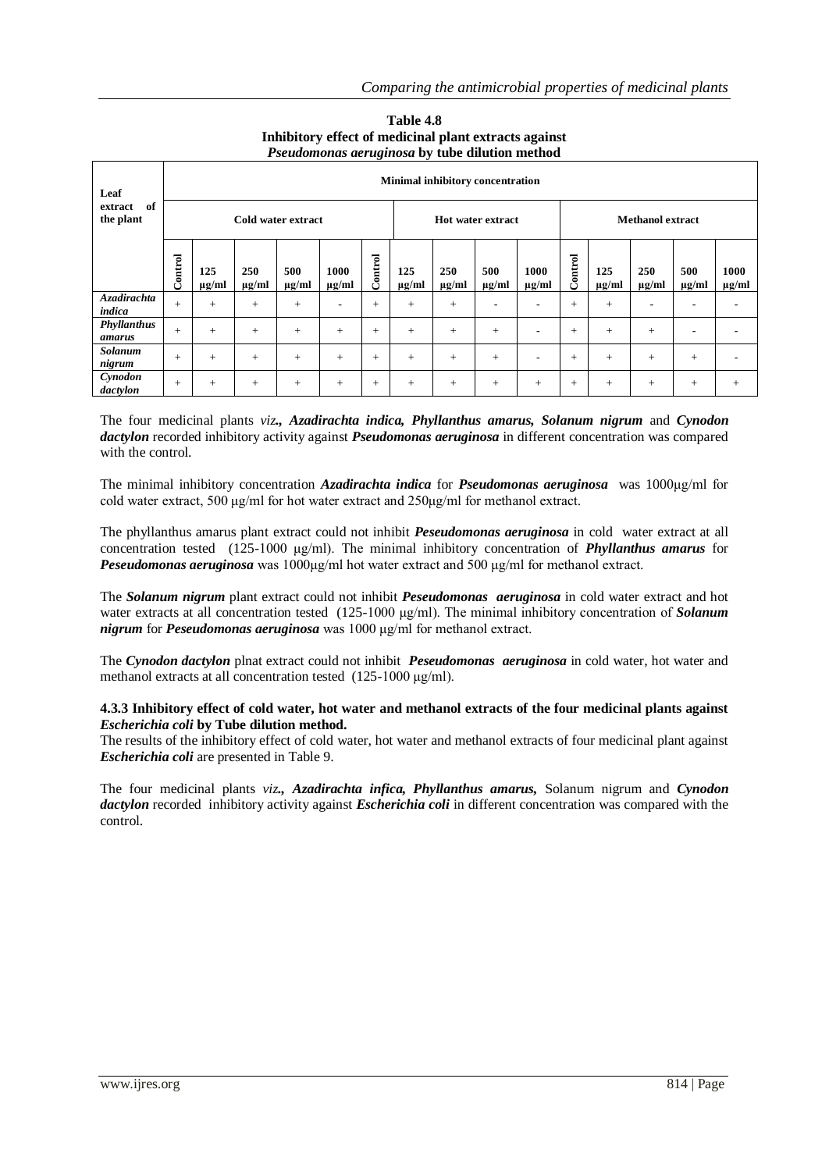| Leaf                       |         |                   |                   |                    | $\sim$ seniomonies we againsed by vase american increase |         |                   |                   | <b>Minimal inhibitory concentration</b> |                          |                                                                                                                                                                                                                              |     |     |     |     |
|----------------------------|---------|-------------------|-------------------|--------------------|----------------------------------------------------------|---------|-------------------|-------------------|-----------------------------------------|--------------------------|------------------------------------------------------------------------------------------------------------------------------------------------------------------------------------------------------------------------------|-----|-----|-----|-----|
| of<br>extract<br>the plant |         |                   |                   | Cold water extract |                                                          |         |                   |                   | <b>Hot water extract</b>                |                          | <b>Methanol extract</b><br>Control<br>125<br>250<br>500<br>1000<br>$\mu$ g/ml<br>$\mu$ g/ml<br>$\mu$ g/ml<br>$\mu$ g/ml<br>$+$<br>$+$<br>۰<br>$\overline{\phantom{0}}$<br>$+$<br>$+$<br>$+$<br>٠<br>$+$<br>$+$<br>$+$<br>$+$ |     |     |     |     |
|                            | Control | 125<br>$\mu$ g/ml | 250<br>$\mu$ g/ml | 500<br>$\mu$ g/ml  | 1000<br>$\mu$ g/ml                                       | Control | 125<br>$\mu$ g/ml | 250<br>$\mu$ g/ml | 500<br>$\mu$ g/ml                       | 1000<br>$\mu$ g/ml       |                                                                                                                                                                                                                              |     |     |     |     |
| Azadirachta<br>indica      | $^{+}$  | $+$               | $+$               | $+$                | ٠                                                        | $+$     | $+$               | $+$               | $\overline{\phantom{a}}$                | $\overline{\phantom{a}}$ |                                                                                                                                                                                                                              |     |     |     |     |
| Phyllanthus<br>amarus      | $+$     | $+$               | $+$               | $+$                | $+$                                                      | $+$     | $+$               | $+$               | $+$                                     | $\overline{\phantom{a}}$ |                                                                                                                                                                                                                              |     |     |     |     |
| Solanum<br>nigrum          | $+$     | $+$               | $+$               | $+$                | $+$                                                      | $+$     | $+$               | $+$               | $+$                                     | $\overline{\phantom{a}}$ |                                                                                                                                                                                                                              |     |     |     |     |
| Cynodon<br>dactylon        | $+$     | $+$               | $+$               | $+$                | $+$                                                      | $+$     | $+$               | $+$               | $+$                                     | $+$                      | $+$                                                                                                                                                                                                                          | $+$ | $+$ | $+$ | $+$ |

#### **Table 4.8 Inhibitory effect of medicinal plant extracts against** *Pseudomonas aeruginosa* **by tube dilution method**

The four medicinal plants *viz., Azadirachta indica, Phyllanthus amarus, Solanum nigrum* and *Cynodon dactylon* recorded inhibitory activity against *Pseudomonas aeruginosa* in different concentration was compared with the control.

The minimal inhibitory concentration *Azadirachta indica* for *Pseudomonas aeruginosa* was 1000μg/ml for cold water extract, 500 μg/ml for hot water extract and 250μg/ml for methanol extract.

The phyllanthus amarus plant extract could not inhibit *Peseudomonas aeruginosa* in cold water extract at all concentration tested (125-1000 μg/ml). The minimal inhibitory concentration of *Phyllanthus amarus* for *Peseudomonas aeruginosa* was 1000μg/ml hot water extract and 500 μg/ml for methanol extract.

The *Solanum nigrum* plant extract could not inhibit *Peseudomonas aeruginosa* in cold water extract and hot water extracts at all concentration tested (125-1000 μg/ml). The minimal inhibitory concentration of *Solanum nigrum* for *Peseudomonas aeruginosa* was 1000 μg/ml for methanol extract.

The *Cynodon dactylon* plnat extract could not inhibit *Peseudomonas aeruginosa* in cold water, hot water and methanol extracts at all concentration tested (125-1000 μg/ml).

#### **4.3.3 Inhibitory effect of cold water, hot water and methanol extracts of the four medicinal plants against**  *Escherichia coli* **by Tube dilution method.**

The results of the inhibitory effect of cold water, hot water and methanol extracts of four medicinal plant against *Escherichia coli* are presented in Table 9.

The four medicinal plants *viz., Azadirachta infica, Phyllanthus amarus,* Solanum nigrum and *Cynodon dactylon* recorded inhibitory activity against *Escherichia coli* in different concentration was compared with the control.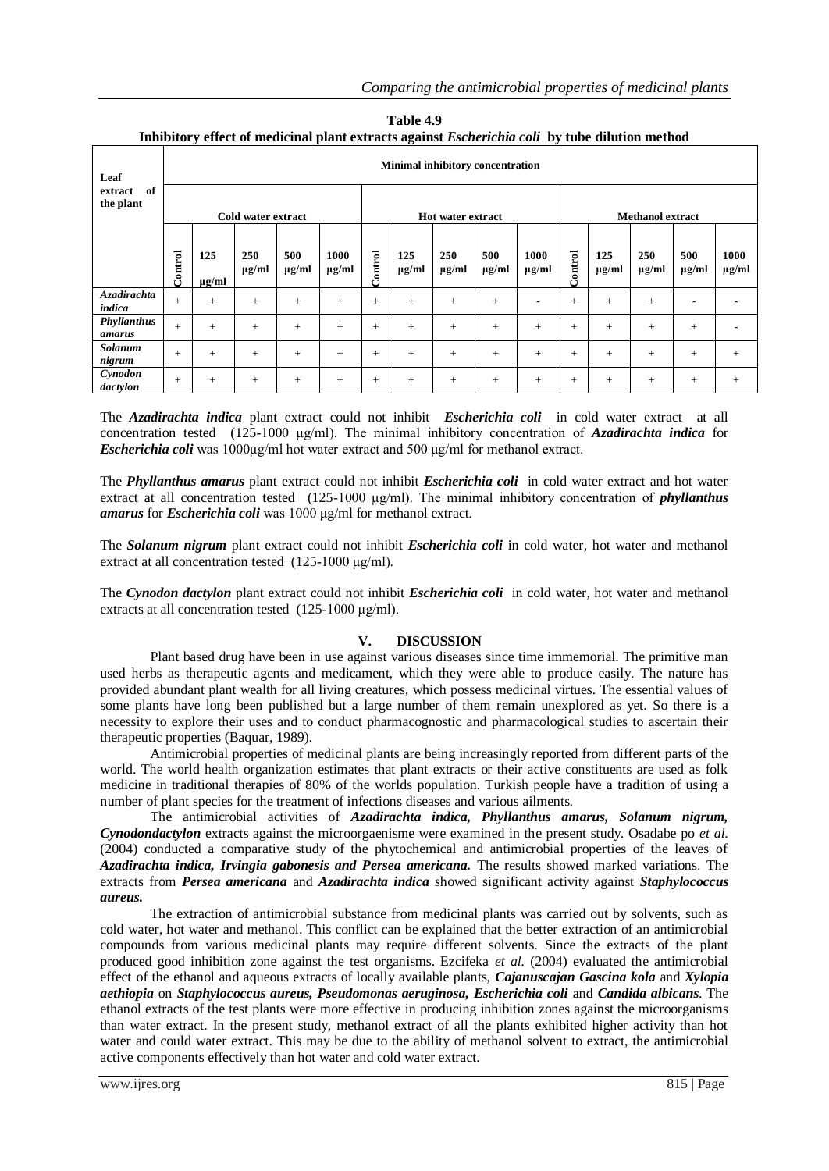|                            |                                         |                   |                    | Thumbled y client of incurring plant extracts against <i>escherich</i> ia con "by tube unufon inclified |                    |         |                   |                   |                   |                    |         |                   |                         |                   |                    |  |
|----------------------------|-----------------------------------------|-------------------|--------------------|---------------------------------------------------------------------------------------------------------|--------------------|---------|-------------------|-------------------|-------------------|--------------------|---------|-------------------|-------------------------|-------------------|--------------------|--|
| Leaf                       | <b>Minimal inhibitory concentration</b> |                   |                    |                                                                                                         |                    |         |                   |                   |                   |                    |         |                   |                         |                   |                    |  |
| of<br>extract<br>the plant |                                         |                   | Cold water extract |                                                                                                         |                    |         |                   | Hot water extract |                   |                    |         |                   | <b>Methanol extract</b> |                   |                    |  |
|                            |                                         |                   |                    |                                                                                                         |                    |         |                   |                   |                   |                    |         |                   |                         |                   |                    |  |
|                            | Control                                 | 125<br>$\mu$ g/ml | 250<br>$\mu$ g/ml  | 500<br>$\mu$ g/ml                                                                                       | 1000<br>$\mu$ g/ml | Control | 125<br>$\mu$ g/ml | 250<br>$\mu$ g/ml | 500<br>$\mu$ g/ml | 1000<br>$\mu$ g/ml | Control | 125<br>$\mu$ g/ml | 250<br>$\mu$ g/ml       | 500<br>$\mu$ g/ml | 1000<br>$\mu$ g/ml |  |
| Azadirachta<br>indica      | $+$                                     | $+$               | $+$                | $+$                                                                                                     | $+$                | $+$     | $+$               | $+$               | $+$               |                    | $+$     | $+$               | $+$                     |                   |                    |  |
| Phyllanthus<br>amarus      | $+$                                     | $+$               | $+$                | $+$                                                                                                     | $+$                | $+$     | $+$               | $+$               | $+$               | $+$                | $+$     | $+$               | $+$                     | $+$               |                    |  |
| Solanum<br>nigrum          | $+$                                     | $+$               | $^{+}$             | $+$                                                                                                     | $+$                | $+$     | $+$               | $+$               | $+$               | $+$                | $+$     | $+$               | $+$                     | $+$               | $+$                |  |
| Cynodon<br>dactylon        | $+$                                     | $+$               | $^{+}$             | $+$                                                                                                     | $+$                | $+$     | $+$               | $+$               | $+$               | $^{+}$             | $+$     | $+$               | $+$                     | $+$               | $+$                |  |

**Table 4.9 Inhibitory effect of medicinal plant extracts against** *Escherichia coli* **by tube dilution method**

The *Azadirachta indica* plant extract could not inhibit *Escherichia coli* in cold water extract at all concentration tested (125-1000 μg/ml). The minimal inhibitory concentration of *Azadirachta indica* for *Escherichia coli* was 1000μg/ml hot water extract and 500 μg/ml for methanol extract.

The *Phyllanthus amarus* plant extract could not inhibit *Escherichia coli* in cold water extract and hot water extract at all concentration tested (125-1000 μg/ml). The minimal inhibitory concentration of *phyllanthus amarus* for *Escherichia coli* was 1000 μg/ml for methanol extract.

The *Solanum nigrum* plant extract could not inhibit *Escherichia coli* in cold water, hot water and methanol extract at all concentration tested (125-1000 μg/ml).

The *Cynodon dactylon* plant extract could not inhibit *Escherichia coli* in cold water, hot water and methanol extracts at all concentration tested (125-1000 μg/ml).

#### **V. DISCUSSION**

Plant based drug have been in use against various diseases since time immemorial. The primitive man used herbs as therapeutic agents and medicament, which they were able to produce easily. The nature has provided abundant plant wealth for all living creatures, which possess medicinal virtues. The essential values of some plants have long been published but a large number of them remain unexplored as yet. So there is a necessity to explore their uses and to conduct pharmacognostic and pharmacological studies to ascertain their therapeutic properties (Baquar, 1989).

Antimicrobial properties of medicinal plants are being increasingly reported from different parts of the world. The world health organization estimates that plant extracts or their active constituents are used as folk medicine in traditional therapies of 80% of the worlds population. Turkish people have a tradition of using a number of plant species for the treatment of infections diseases and various ailments.

The antimicrobial activities of *Azadirachta indica, Phyllanthus amarus, Solanum nigrum, Cynodondactylon* extracts against the microorgaenisme were examined in the present study. Osadabe po *et al.* (2004) conducted a comparative study of the phytochemical and antimicrobial properties of the leaves of *Azadirachta indica, Irvingia gabonesis and Persea americana.* The results showed marked variations. The extracts from *Persea americana* and *Azadirachta indica* showed significant activity against *Staphylococcus aureus.*

The extraction of antimicrobial substance from medicinal plants was carried out by solvents, such as cold water, hot water and methanol. This conflict can be explained that the better extraction of an antimicrobial compounds from various medicinal plants may require different solvents. Since the extracts of the plant produced good inhibition zone against the test organisms. Ezcifeka *et al.* (2004) evaluated the antimicrobial effect of the ethanol and aqueous extracts of locally available plants, *Cajanuscajan Gascina kola* and *Xylopia aethiopia* on *Staphylococcus aureus, Pseudomonas aeruginosa, Escherichia coli* and *Candida albicans*. The ethanol extracts of the test plants were more effective in producing inhibition zones against the microorganisms than water extract. In the present study, methanol extract of all the plants exhibited higher activity than hot water and could water extract. This may be due to the ability of methanol solvent to extract, the antimicrobial active components effectively than hot water and cold water extract.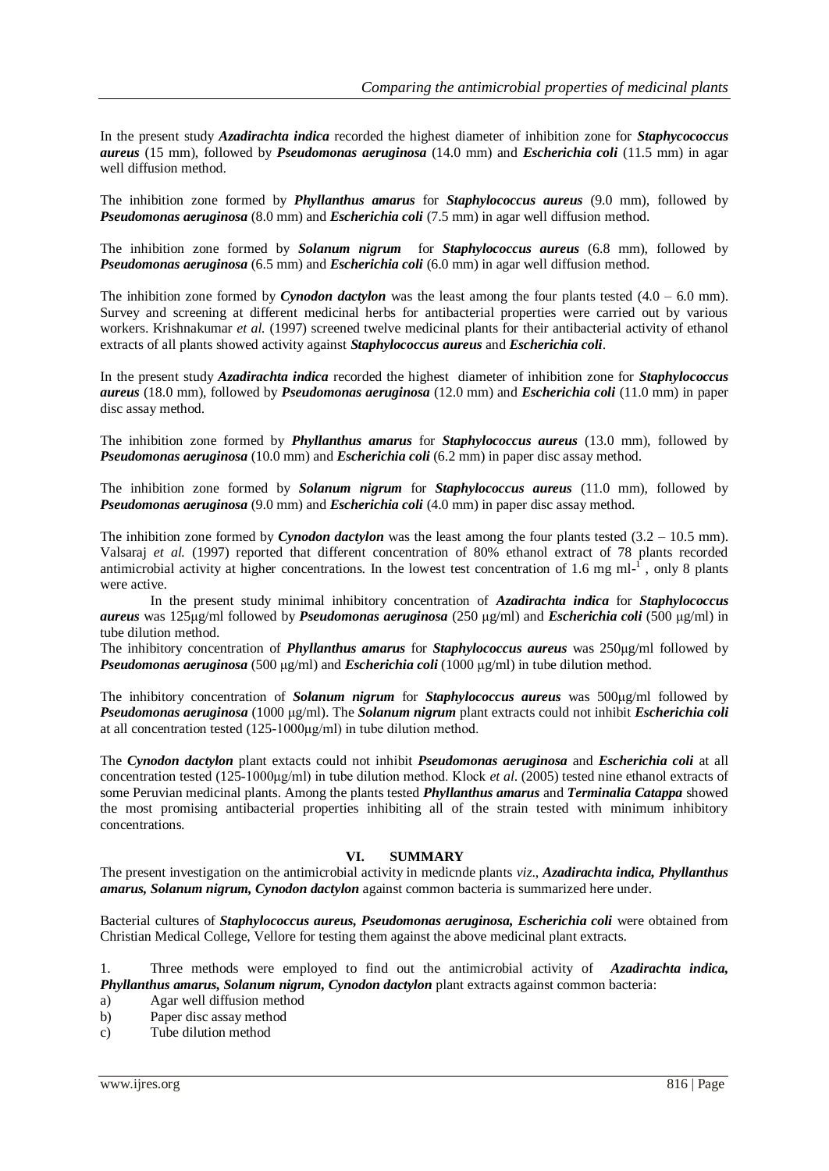In the present study *Azadirachta indica* recorded the highest diameter of inhibition zone for *Staphycococcus aureus* (15 mm), followed by *Pseudomonas aeruginosa* (14.0 mm) and *Escherichia coli* (11.5 mm) in agar well diffusion method.

The inhibition zone formed by *Phyllanthus amarus* for *Staphylococcus aureus* (9.0 mm), followed by *Pseudomonas aeruginosa* (8.0 mm) and *Escherichia coli* (7.5 mm) in agar well diffusion method.

The inhibition zone formed by *Solanum nigrum* for *Staphylococcus aureus* (6.8 mm), followed by *Pseudomonas aeruginosa* (6.5 mm) and *Escherichia coli* (6.0 mm) in agar well diffusion method.

The inhibition zone formed by *Cynodon dactylon* was the least among the four plants tested  $(4.0 - 6.0 \text{ mm})$ . Survey and screening at different medicinal herbs for antibacterial properties were carried out by various workers. Krishnakumar *et al.* (1997) screened twelve medicinal plants for their antibacterial activity of ethanol extracts of all plants showed activity against *Staphylococcus aureus* and *Escherichia coli*.

In the present study *Azadirachta indica* recorded the highest diameter of inhibition zone for *Staphylococcus aureus* (18.0 mm), followed by *Pseudomonas aeruginosa* (12.0 mm) and *Escherichia coli* (11.0 mm) in paper disc assay method.

The inhibition zone formed by *Phyllanthus amarus* for *Staphylococcus aureus* (13.0 mm), followed by *Pseudomonas aeruginosa* (10.0 mm) and *Escherichia coli* (6.2 mm) in paper disc assay method.

The inhibition zone formed by *Solanum nigrum* for *Staphylococcus aureus* (11.0 mm), followed by *Pseudomonas aeruginosa* (9.0 mm) and *Escherichia coli* (4.0 mm) in paper disc assay method.

The inhibition zone formed by *Cynodon dactylon* was the least among the four plants tested  $(3.2 - 10.5 \text{ mm})$ . Valsaraj *et al.* (1997) reported that different concentration of 80% ethanol extract of 78 plants recorded antimicrobial activity at higher concentrations. In the lowest test concentration of 1.6 mg ml $^{-1}$ , only 8 plants were active.

In the present study minimal inhibitory concentration of *Azadirachta indica* for *Staphylococcus aureus* was 125μg/ml followed by *Pseudomonas aeruginosa* (250 μg/ml) and *Escherichia coli* (500 μg/ml) in tube dilution method.

The inhibitory concentration of *Phyllanthus amarus* for *Staphylococcus aureus* was 250μg/ml followed by *Pseudomonas aeruginosa* (500 μg/ml) and *Escherichia coli* (1000 μg/ml) in tube dilution method.

The inhibitory concentration of *Solanum nigrum* for *Staphylococcus aureus* was 500μg/ml followed by *Pseudomonas aeruginosa* (1000 μg/ml). The *Solanum nigrum* plant extracts could not inhibit *Escherichia coli* at all concentration tested (125-1000μg/ml) in tube dilution method.

The *Cynodon dactylon* plant extacts could not inhibit *Pseudomonas aeruginosa* and *Escherichia coli* at all concentration tested (125-1000μg/ml) in tube dilution method. Klock *et al*. (2005) tested nine ethanol extracts of some Peruvian medicinal plants. Among the plants tested *Phyllanthus amarus* and *Terminalia Catappa* showed the most promising antibacterial properties inhibiting all of the strain tested with minimum inhibitory concentrations.

#### **VI. SUMMARY**

The present investigation on the antimicrobial activity in medicnde plants *viz*., *Azadirachta indica, Phyllanthus amarus, Solanum nigrum, Cynodon dactylon* against common bacteria is summarized here under.

Bacterial cultures of *Staphylococcus aureus, Pseudomonas aeruginosa, Escherichia coli* were obtained from Christian Medical College, Vellore for testing them against the above medicinal plant extracts.

1. Three methods were employed to find out the antimicrobial activity of *Azadirachta indica, Phyllanthus amarus, Solanum nigrum, Cynodon dactylon* plant extracts against common bacteria:

- a) Agar well diffusion method
- b) Paper disc assay method
- c) Tube dilution method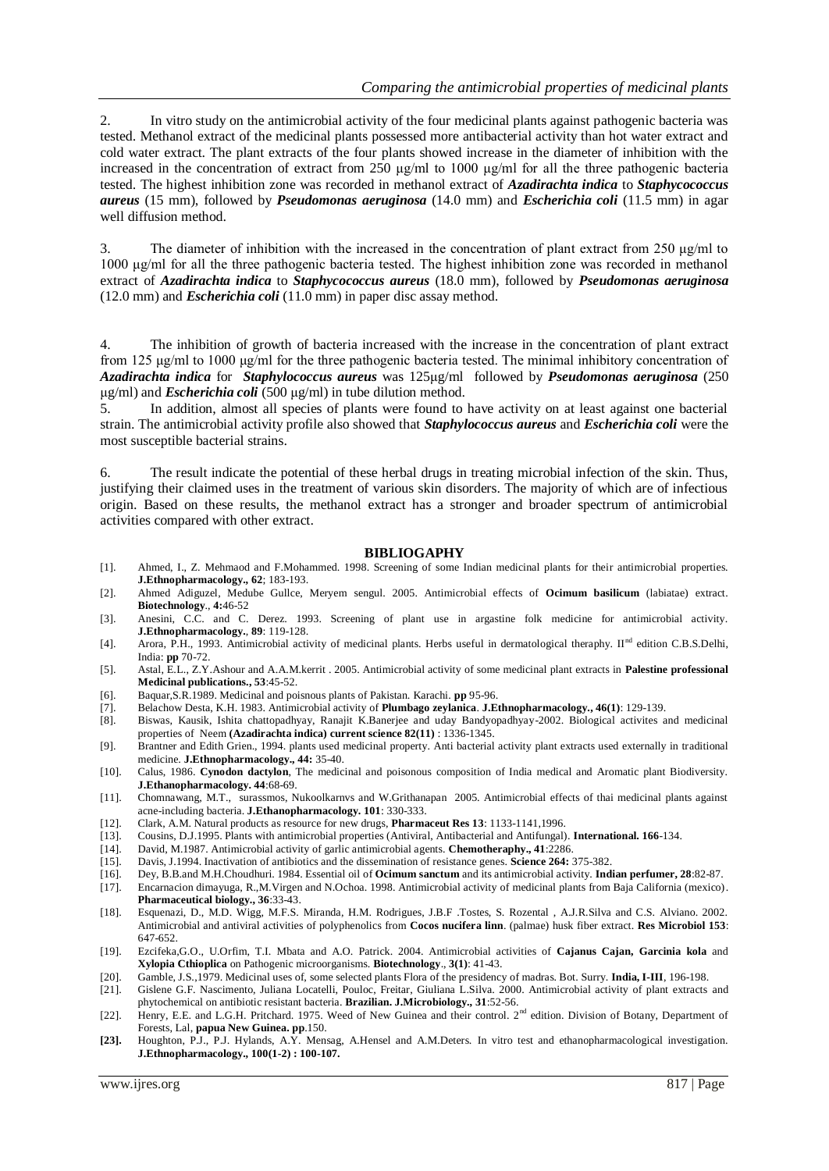2. In vitro study on the antimicrobial activity of the four medicinal plants against pathogenic bacteria was tested. Methanol extract of the medicinal plants possessed more antibacterial activity than hot water extract and cold water extract. The plant extracts of the four plants showed increase in the diameter of inhibition with the increased in the concentration of extract from 250 μg/ml to 1000 μg/ml for all the three pathogenic bacteria tested. The highest inhibition zone was recorded in methanol extract of *Azadirachta indica* to *Staphycococcus aureus* (15 mm), followed by *Pseudomonas aeruginosa* (14.0 mm) and *Escherichia coli* (11.5 mm) in agar well diffusion method.

3. The diameter of inhibition with the increased in the concentration of plant extract from 250 μg/ml to 1000 μg/ml for all the three pathogenic bacteria tested. The highest inhibition zone was recorded in methanol extract of *Azadirachta indica* to *Staphycococcus aureus* (18.0 mm), followed by *Pseudomonas aeruginosa* (12.0 mm) and *Escherichia coli* (11.0 mm) in paper disc assay method.

4. The inhibition of growth of bacteria increased with the increase in the concentration of plant extract from 125 μg/ml to 1000 μg/ml for the three pathogenic bacteria tested. The minimal inhibitory concentration of *Azadirachta indica* for *Staphylococcus aureus* was 125μg/ml followed by *Pseudomonas aeruginosa* (250 μg/ml) and *Escherichia coli* (500 μg/ml) in tube dilution method.

5. In addition, almost all species of plants were found to have activity on at least against one bacterial strain. The antimicrobial activity profile also showed that *Staphylococcus aureus* and *Escherichia coli* were the most susceptible bacterial strains.

6. The result indicate the potential of these herbal drugs in treating microbial infection of the skin. Thus, justifying their claimed uses in the treatment of various skin disorders. The majority of which are of infectious origin. Based on these results, the methanol extract has a stronger and broader spectrum of antimicrobial activities compared with other extract.

#### **BIBLIOGAPHY**

- [1]. Ahmed, I., Z. Mehmaod and F.Mohammed. 1998. Screening of some Indian medicinal plants for their antimicrobial properties. **J.Ethnopharmacology., 62**; 183-193.
- [2]. Ahmed Adiguzel, Medube Gullce, Meryem sengul. 2005. Antimicrobial effects of **Ocimum basilicum** (labiatae) extract. **Biotechnology**., **4:**46-52
- [3]. Anesini, C.C. and C. Derez. 1993. Screening of plant use in argastine folk medicine for antimicrobial activity. **J.Ethnopharmacology.**, **89**: 119-128.
- [4]. Arora, P.H., 1993. Antimicrobial activity of medicinal plants. Herbs useful in dermatological theraphy. II<sup>nd</sup> edition C.B.S.Delhi, India: **pp** 70-72.
- [5]. Astal, E.L., Z.Y.Ashour and A.A.M.kerrit . 2005. Antimicrobial activity of some medicinal plant extracts in **Palestine professional Medicinal publications., 53**:45-52.
- [6]. Baquar,S.R.1989. Medicinal and poisnous plants of Pakistan. Karachi. **pp** 95-96.
- [7]. Belachow Desta, K.H. 1983. Antimicrobial activity of **Plumbago zeylanica**. **J.Ethnopharmacology., 46(1)**: 129-139.
- [8]. Biswas, Kausik, Ishita chattopadhyay, Ranajit K.Banerjee and uday Bandyopadhyay-2002. Biological activites and medicinal properties of Neem **(Azadirachta indica) current science 82(11)** : 1336-1345.
- [9]. Brantner and Edith Grien., 1994. plants used medicinal property. Anti bacterial activity plant extracts used externally in traditional medicine. **J.Ethnopharmacology., 44:** 35-40.
- [10]. Calus, 1986. **Cynodon dactylon**, The medicinal and poisonous composition of India medical and Aromatic plant Biodiversity. **J.Ethanopharmacology. 44**:68-69.
- [11]. Chomnawang, M.T., surassmos, Nukoolkarnvs and W.Grithanapan 2005. Antimicrobial effects of thai medicinal plants against acne-including bacteria. **J.Ethanopharmacology. 101**: 330-333.
- [12]. Clark, A.M. Natural products as resource for new drugs, **Pharmaceut Res 13**: 1133-1141,1996.
- [13]. Cousins, D.J.1995. Plants with antimicrobial properties (Antiviral, Antibacterial and Antifungal). **International. 166**-134.
- [14]. David, M.1987. Antimicrobial activity of garlic antimicrobial agents. **Chemotheraphy., 41**:2286.
- [15]. Davis, J.1994. Inactivation of antibiotics and the dissemination of resistance genes. **Science 264:** 375-382.
- [16]. Dey, B.B.and M.H.Choudhuri. 1984. Essential oil of **Ocimum sanctum** and its antimicrobial activity. **Indian perfumer, 28**:82-87.
- [17]. Encarnacion dimayuga, R.,M.Virgen and N.Ochoa. 1998. Antimicrobial activity of medicinal plants from Baja California (mexico). **Pharmaceutical biology., 36**:33-43.
- [18]. Esquenazi, D., M.D. Wigg, M.F.S. Miranda, H.M. Rodrigues, J.B.F .Tostes, S. Rozental , A.J.R.Silva and C.S. Alviano. 2002. Antimicrobial and antiviral activities of polyphenolics from **Cocos nucifera linn**. (palmae) husk fiber extract. **Res Microbiol 153**: 647-652.
- [19]. Ezcifeka,G.O., U.Orfim, T.I. Mbata and A.O. Patrick. 2004. Antimicrobial activities of **Cajanus Cajan, Garcinia kola** and **Xylopia Cthioplica** on Pathogenic microorganisms. **Biotechnology**., **3(1)**: 41-43.
- [20]. Gamble, J.S.,1979. Medicinal uses of, some selected plants Flora of the presidency of madras. Bot. Surry. **India, I-III**, 196-198.
- [21]. Gislene G.F. Nascimento, Juliana Locatelli, Pouloc, Freitar, Giuliana L.Silva. 2000. Antimicrobial activity of plant extracts and phytochemical on antibiotic resistant bacteria. **Brazilian. J.Microbiology., 31**:52-56.
- [22]. Henry, E.E. and L.G.H. Pritchard. 1975. Weed of New Guinea and their control. 2<sup>nd</sup> edition. Division of Botany, Department of Forests, Lal, **papua New Guinea. pp**.150.
- **[23].** Houghton, P.J., P.J. Hylands, A.Y. Mensag, A.Hensel and A.M.Deters. In vitro test and ethanopharmacological investigation. **J.Ethnopharmacology., 100(1-2) : 100-107.**